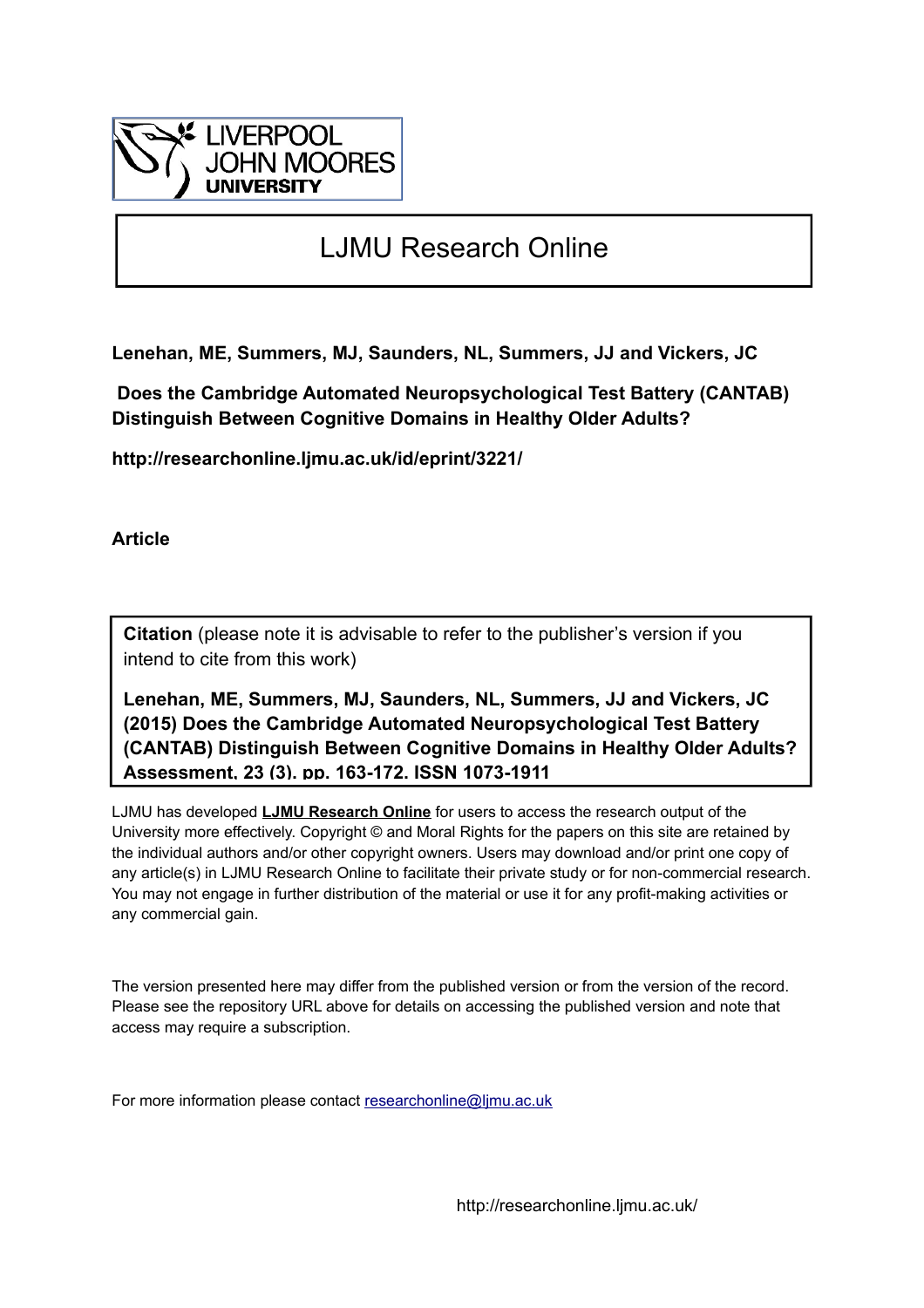

# LJMU Research Online

**Lenehan, ME, Summers, MJ, Saunders, NL, Summers, JJ and Vickers, JC**

 **Does the Cambridge Automated Neuropsychological Test Battery (CANTAB) Distinguish Between Cognitive Domains in Healthy Older Adults?**

**http://researchonline.ljmu.ac.uk/id/eprint/3221/**

**Article**

**Citation** (please note it is advisable to refer to the publisher's version if you intend to cite from this work)

**Lenehan, ME, Summers, MJ, Saunders, NL, Summers, JJ and Vickers, JC (2015) Does the Cambridge Automated Neuropsychological Test Battery (CANTAB) Distinguish Between Cognitive Domains in Healthy Older Adults? Assessment, 23 (3). pp. 163-172. ISSN 1073-1911** 

LJMU has developed **[LJMU Research Online](http://researchonline.ljmu.ac.uk/)** for users to access the research output of the University more effectively. Copyright © and Moral Rights for the papers on this site are retained by the individual authors and/or other copyright owners. Users may download and/or print one copy of any article(s) in LJMU Research Online to facilitate their private study or for non-commercial research. You may not engage in further distribution of the material or use it for any profit-making activities or any commercial gain.

The version presented here may differ from the published version or from the version of the record. Please see the repository URL above for details on accessing the published version and note that access may require a subscription.

For more information please contact [researchonline@ljmu.ac.uk](mailto:researchonline@ljmu.ac.uk)

http://researchonline.ljmu.ac.uk/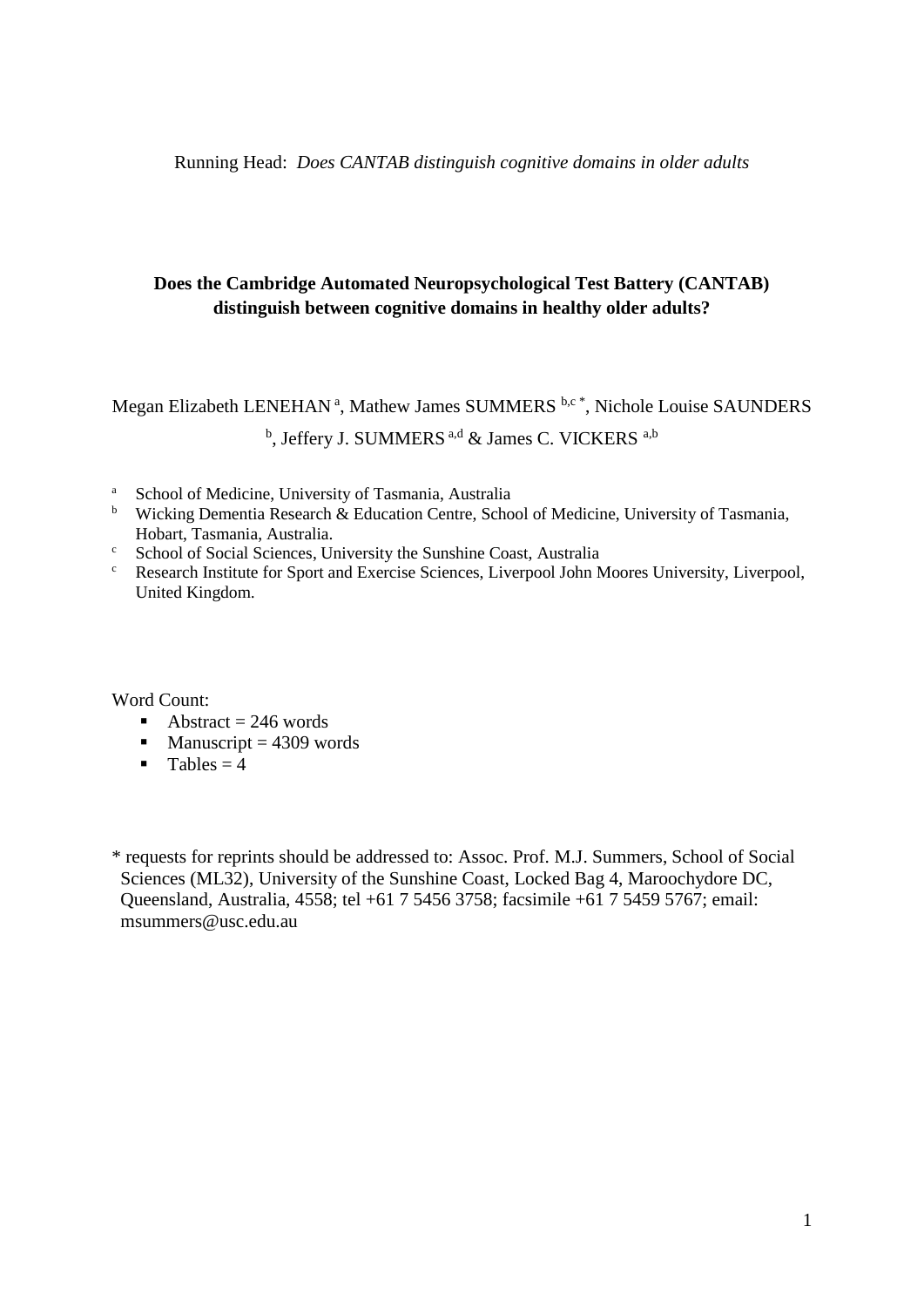Running Head: *Does CANTAB distinguish cognitive domains in older adults*

## **Does the Cambridge Automated Neuropsychological Test Battery (CANTAB) distinguish between cognitive domains in healthy older adults?**

## Megan Elizabeth LENEHAN<sup>a</sup>, Mathew James SUMMERS<sup>b,c\*</sup>, Nichole Louise SAUNDERS <sup>b</sup>, Jeffery J. SUMMERS <sup>a,d</sup> & James C. VICKERS <sup>a,b</sup>

- <sup>a</sup> School of Medicine, University of Tasmania, Australia
- <sup>b</sup> Wicking Dementia Research & Education Centre, School of Medicine, University of Tasmania, Hobart, Tasmania, Australia.
- <sup>c</sup> School of Social Sciences, University the Sunshine Coast, Australia
- <sup>c</sup> Research Institute for Sport and Exercise Sciences, Liverpool John Moores University, Liverpool, United Kingdom.

Word Count:

- Abstract =  $246$  words
- $M$ anuscript = 4309 words
- $\blacksquare$  Tables = 4

\* requests for reprints should be addressed to: Assoc. Prof. M.J. Summers, School of Social Sciences (ML32), University of the Sunshine Coast, Locked Bag 4, Maroochydore DC, Queensland, Australia, 4558; tel +61 7 5456 3758; facsimile +61 7 5459 5767; email: msummers@usc.edu.au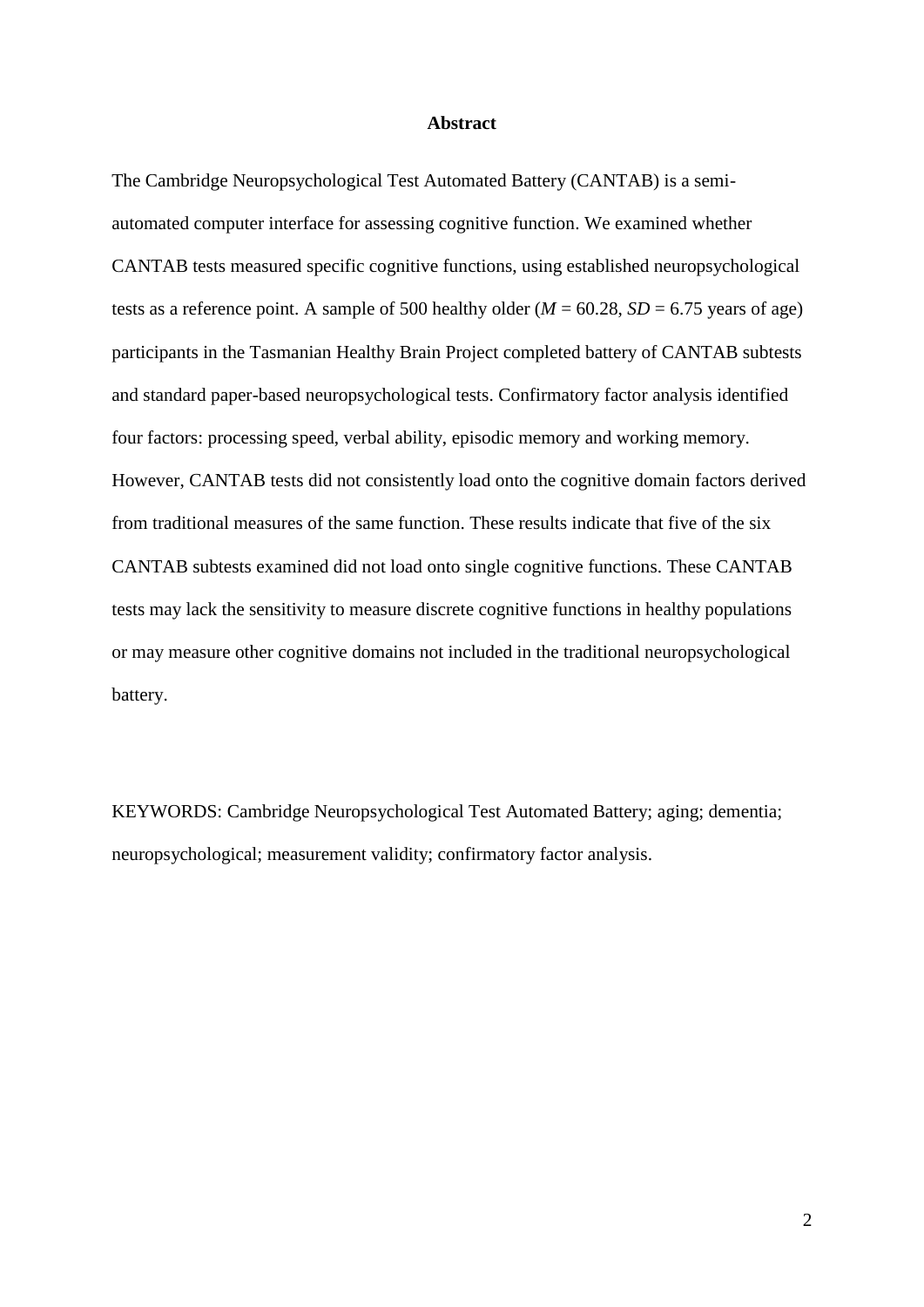### **Abstract**

The Cambridge Neuropsychological Test Automated Battery (CANTAB) is a semiautomated computer interface for assessing cognitive function. We examined whether CANTAB tests measured specific cognitive functions, using established neuropsychological tests as a reference point. A sample of 500 healthy older ( $M = 60.28$ ,  $SD = 6.75$  years of age) participants in the Tasmanian Healthy Brain Project completed battery of CANTAB subtests and standard paper-based neuropsychological tests. Confirmatory factor analysis identified four factors: processing speed, verbal ability, episodic memory and working memory. However, CANTAB tests did not consistently load onto the cognitive domain factors derived from traditional measures of the same function. These results indicate that five of the six CANTAB subtests examined did not load onto single cognitive functions. These CANTAB tests may lack the sensitivity to measure discrete cognitive functions in healthy populations or may measure other cognitive domains not included in the traditional neuropsychological battery.

KEYWORDS: Cambridge Neuropsychological Test Automated Battery; aging; dementia; neuropsychological; measurement validity; confirmatory factor analysis.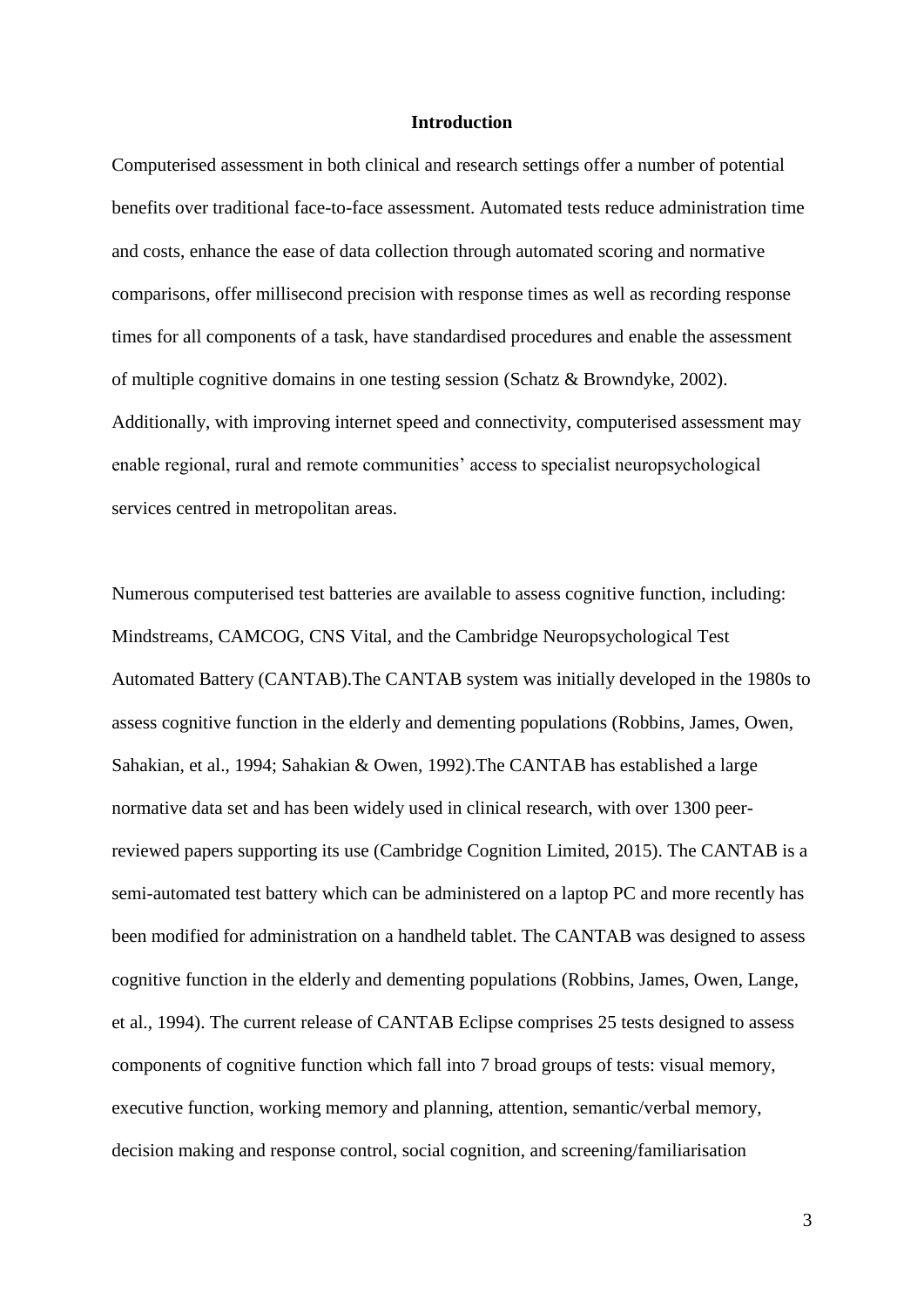### **Introduction**

Computerised assessment in both clinical and research settings offer a number of potential benefits over traditional face-to-face assessment. Automated tests reduce administration time and costs, enhance the ease of data collection through automated scoring and normative comparisons, offer millisecond precision with response times as well as recording response times for all components of a task, have standardised procedures and enable the assessment of multiple cognitive domains in one testing session (Schatz & Browndyke, 2002). Additionally, with improving internet speed and connectivity, computerised assessment may enable regional, rural and remote communities' access to specialist neuropsychological services centred in metropolitan areas.

Numerous computerised test batteries are available to assess cognitive function, including: Mindstreams, CAMCOG, CNS Vital, and the Cambridge Neuropsychological Test Automated Battery (CANTAB).The CANTAB system was initially developed in the 1980s to assess cognitive function in the elderly and dementing populations (Robbins, James, Owen, Sahakian, et al., 1994; Sahakian & Owen, 1992).The CANTAB has established a large normative data set and has been widely used in clinical research, with over 1300 peerreviewed papers supporting its use (Cambridge Cognition Limited, 2015). The CANTAB is a semi-automated test battery which can be administered on a laptop PC and more recently has been modified for administration on a handheld tablet. The CANTAB was designed to assess cognitive function in the elderly and dementing populations (Robbins, James, Owen, Lange, et al., 1994). The current release of CANTAB Eclipse comprises 25 tests designed to assess components of cognitive function which fall into 7 broad groups of tests: visual memory, executive function, working memory and planning, attention, semantic/verbal memory, decision making and response control, social cognition, and screening/familiarisation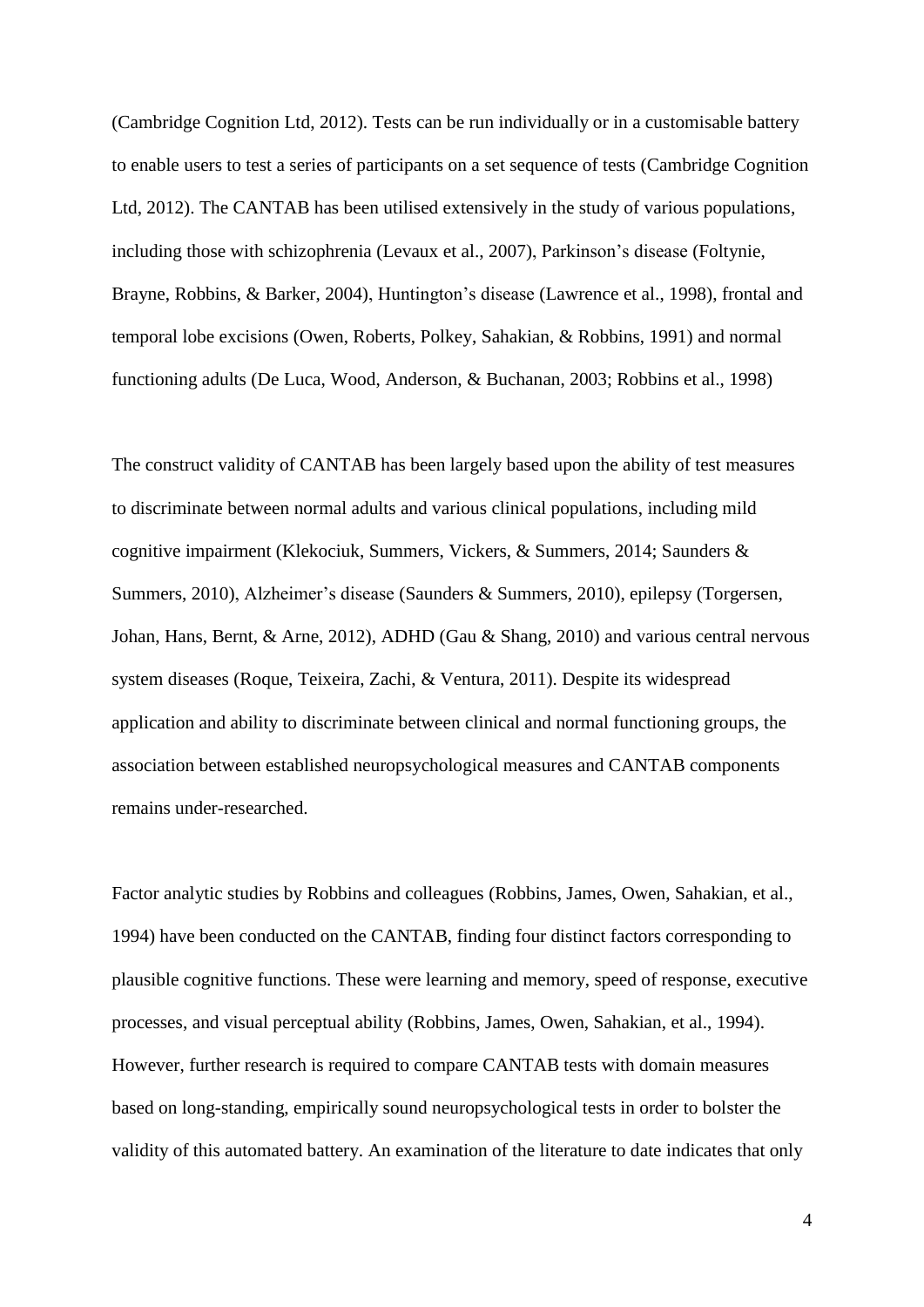(Cambridge Cognition Ltd, 2012). Tests can be run individually or in a customisable battery to enable users to test a series of participants on a set sequence of tests (Cambridge Cognition Ltd, 2012). The CANTAB has been utilised extensively in the study of various populations, including those with schizophrenia (Levaux et al., 2007), Parkinson's disease (Foltynie, Brayne, Robbins, & Barker, 2004), Huntington's disease (Lawrence et al., 1998), frontal and temporal lobe excisions (Owen, Roberts, Polkey, Sahakian, & Robbins, 1991) and normal functioning adults (De Luca, Wood, Anderson, & Buchanan, 2003; Robbins et al., 1998)

The construct validity of CANTAB has been largely based upon the ability of test measures to discriminate between normal adults and various clinical populations, including mild cognitive impairment (Klekociuk, Summers, Vickers, & Summers, 2014; Saunders & Summers, 2010), Alzheimer's disease (Saunders & Summers, 2010), epilepsy (Torgersen, Johan, Hans, Bernt, & Arne, 2012), ADHD (Gau & Shang, 2010) and various central nervous system diseases (Roque, Teixeira, Zachi, & Ventura, 2011). Despite its widespread application and ability to discriminate between clinical and normal functioning groups, the association between established neuropsychological measures and CANTAB components remains under-researched.

Factor analytic studies by Robbins and colleagues (Robbins, James, Owen, Sahakian, et al., 1994) have been conducted on the CANTAB, finding four distinct factors corresponding to plausible cognitive functions. These were learning and memory, speed of response, executive processes, and visual perceptual ability (Robbins, James, Owen, Sahakian, et al., 1994). However, further research is required to compare CANTAB tests with domain measures based on long-standing, empirically sound neuropsychological tests in order to bolster the validity of this automated battery. An examination of the literature to date indicates that only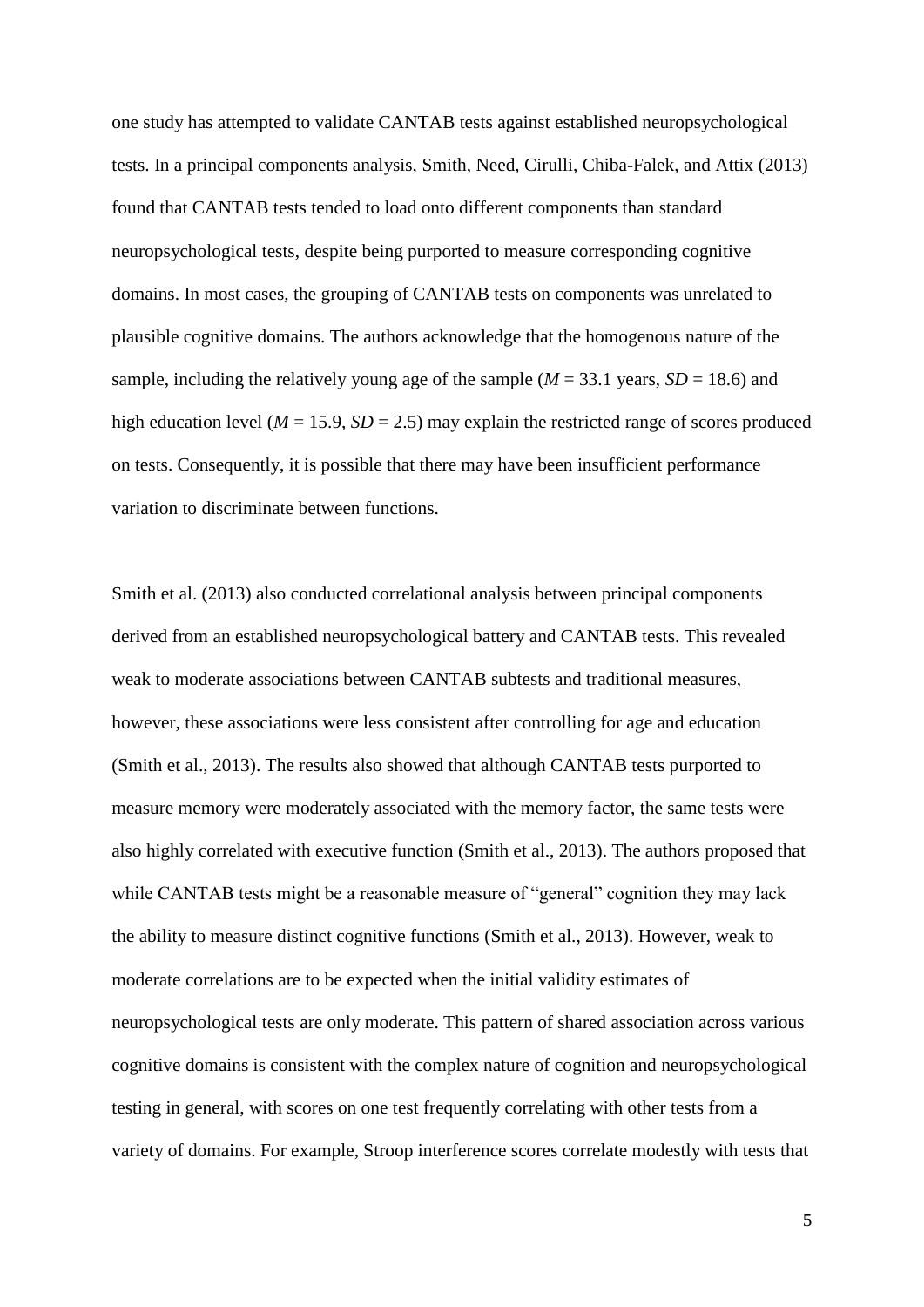one study has attempted to validate CANTAB tests against established neuropsychological tests. In a principal components analysis, Smith, Need, Cirulli, Chiba-Falek, and Attix (2013) found that CANTAB tests tended to load onto different components than standard neuropsychological tests, despite being purported to measure corresponding cognitive domains. In most cases, the grouping of CANTAB tests on components was unrelated to plausible cognitive domains. The authors acknowledge that the homogenous nature of the sample, including the relatively young age of the sample  $(M = 33.1$  years,  $SD = 18.6$ ) and high education level ( $M = 15.9$ ,  $SD = 2.5$ ) may explain the restricted range of scores produced on tests. Consequently, it is possible that there may have been insufficient performance variation to discriminate between functions.

Smith et al. (2013) also conducted correlational analysis between principal components derived from an established neuropsychological battery and CANTAB tests. This revealed weak to moderate associations between CANTAB subtests and traditional measures, however, these associations were less consistent after controlling for age and education (Smith et al., 2013). The results also showed that although CANTAB tests purported to measure memory were moderately associated with the memory factor, the same tests were also highly correlated with executive function (Smith et al., 2013). The authors proposed that while CANTAB tests might be a reasonable measure of "general" cognition they may lack the ability to measure distinct cognitive functions (Smith et al., 2013). However, weak to moderate correlations are to be expected when the initial validity estimates of neuropsychological tests are only moderate. This pattern of shared association across various cognitive domains is consistent with the complex nature of cognition and neuropsychological testing in general, with scores on one test frequently correlating with other tests from a variety of domains. For example, Stroop interference scores correlate modestly with tests that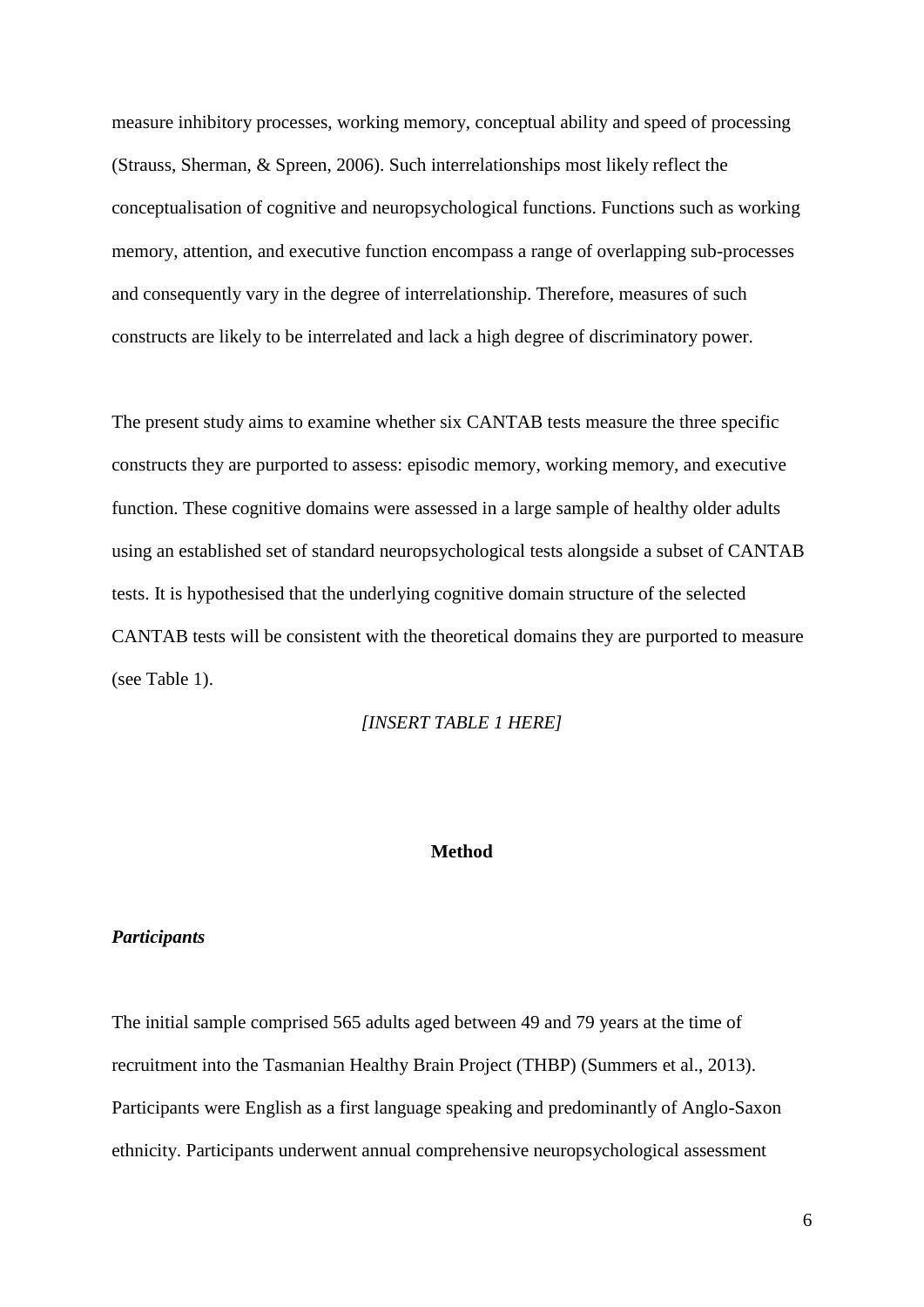measure inhibitory processes, working memory, conceptual ability and speed of processing (Strauss, Sherman, & Spreen, 2006). Such interrelationships most likely reflect the conceptualisation of cognitive and neuropsychological functions. Functions such as working memory, attention, and executive function encompass a range of overlapping sub-processes and consequently vary in the degree of interrelationship. Therefore, measures of such constructs are likely to be interrelated and lack a high degree of discriminatory power.

The present study aims to examine whether six CANTAB tests measure the three specific constructs they are purported to assess: episodic memory, working memory, and executive function. These cognitive domains were assessed in a large sample of healthy older adults using an established set of standard neuropsychological tests alongside a subset of CANTAB tests. It is hypothesised that the underlying cognitive domain structure of the selected CANTAB tests will be consistent with the theoretical domains they are purported to measure (see Table 1).

## *[INSERT TABLE 1 HERE]*

### **Method**

### *Participants*

The initial sample comprised 565 adults aged between 49 and 79 years at the time of recruitment into the Tasmanian Healthy Brain Project (THBP) (Summers et al., 2013). Participants were English as a first language speaking and predominantly of Anglo-Saxon ethnicity. Participants underwent annual comprehensive neuropsychological assessment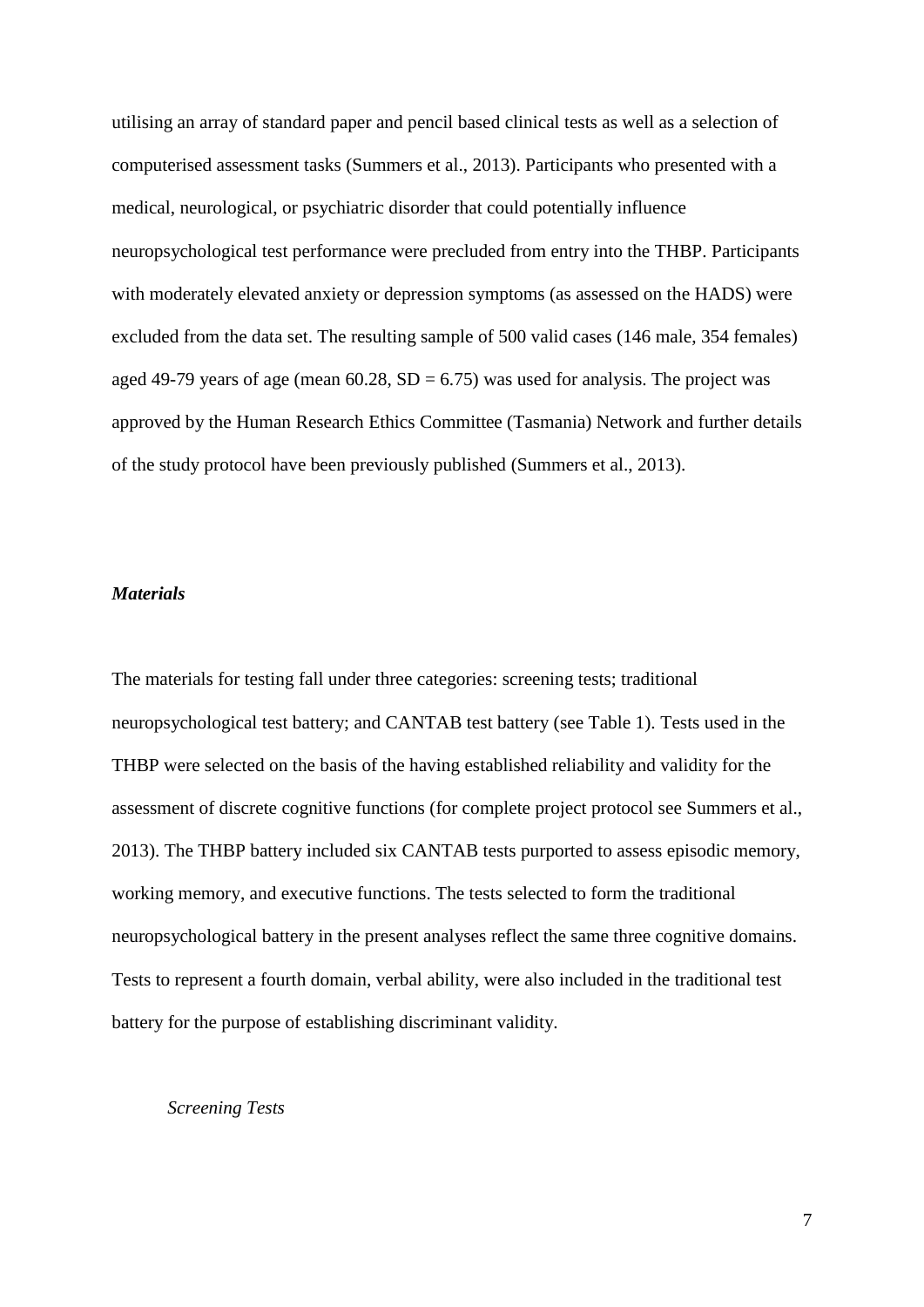utilising an array of standard paper and pencil based clinical tests as well as a selection of computerised assessment tasks (Summers et al., 2013). Participants who presented with a medical, neurological, or psychiatric disorder that could potentially influence neuropsychological test performance were precluded from entry into the THBP. Participants with moderately elevated anxiety or depression symptoms (as assessed on the HADS) were excluded from the data set. The resulting sample of 500 valid cases (146 male, 354 females) aged 49-79 years of age (mean  $60.28$ ,  $SD = 6.75$ ) was used for analysis. The project was approved by the Human Research Ethics Committee (Tasmania) Network and further details of the study protocol have been previously published (Summers et al., 2013).

## *Materials*

The materials for testing fall under three categories: screening tests; traditional neuropsychological test battery; and CANTAB test battery (see Table 1). Tests used in the THBP were selected on the basis of the having established reliability and validity for the assessment of discrete cognitive functions (for complete project protocol see Summers et al., 2013). The THBP battery included six CANTAB tests purported to assess episodic memory, working memory, and executive functions. The tests selected to form the traditional neuropsychological battery in the present analyses reflect the same three cognitive domains. Tests to represent a fourth domain, verbal ability, were also included in the traditional test battery for the purpose of establishing discriminant validity.

## *Screening Tests*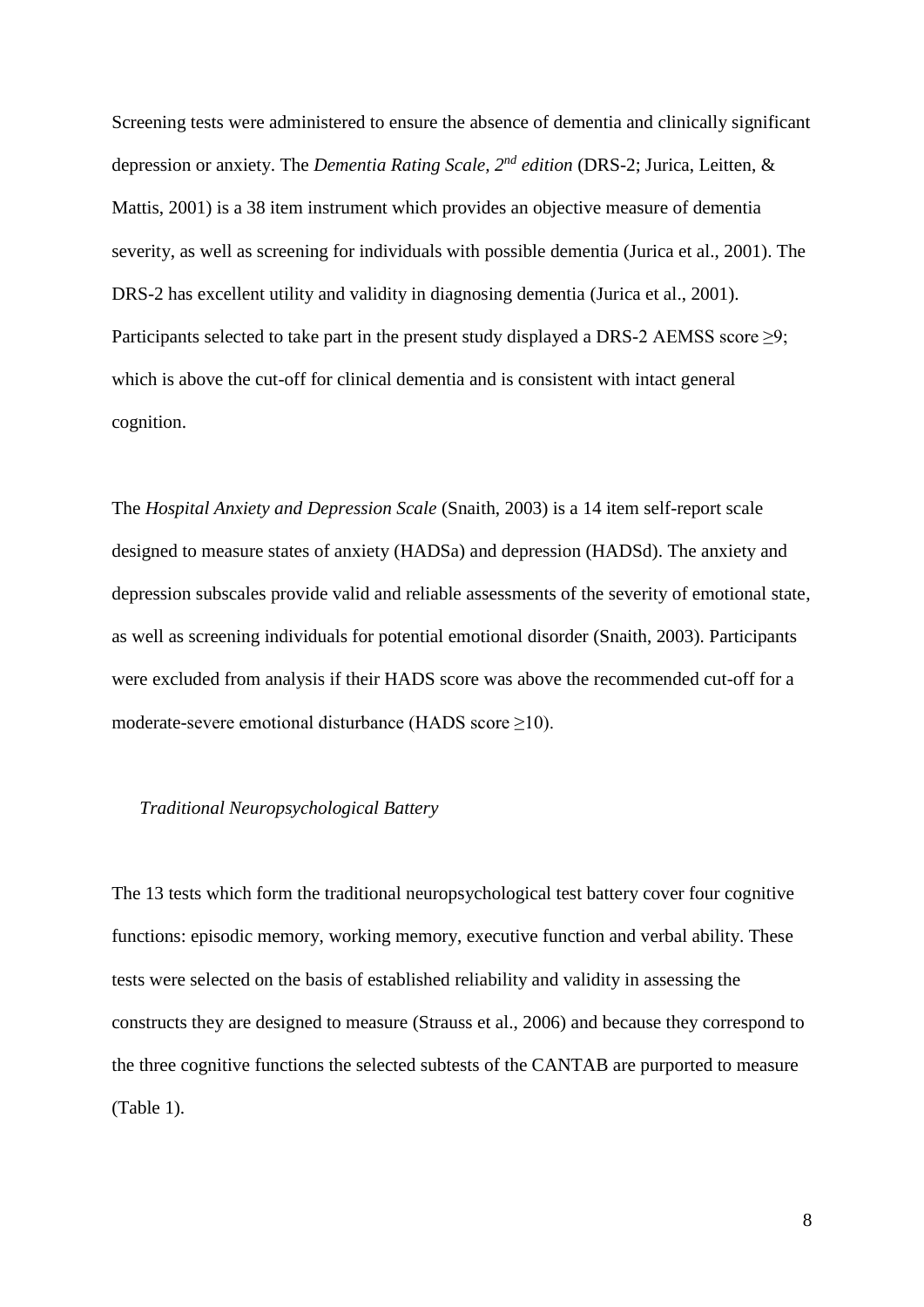Screening tests were administered to ensure the absence of dementia and clinically significant depression or anxiety. The *Dementia Rating Scale, 2nd edition* (DRS-2; Jurica, Leitten, & Mattis, 2001) is a 38 item instrument which provides an objective measure of dementia severity, as well as screening for individuals with possible dementia (Jurica et al., 2001). The DRS-2 has excellent utility and validity in diagnosing dementia (Jurica et al., 2001). Participants selected to take part in the present study displayed a DRS-2 AEMSS score  $\geq$ 9; which is above the cut-off for clinical dementia and is consistent with intact general cognition.

The *Hospital Anxiety and Depression Scale* (Snaith, 2003) is a 14 item self-report scale designed to measure states of anxiety (HADSa) and depression (HADSd). The anxiety and depression subscales provide valid and reliable assessments of the severity of emotional state, as well as screening individuals for potential emotional disorder (Snaith, 2003). Participants were excluded from analysis if their HADS score was above the recommended cut-off for a moderate-severe emotional disturbance (HADS score ≥10).

## *Traditional Neuropsychological Battery*

The 13 tests which form the traditional neuropsychological test battery cover four cognitive functions: episodic memory, working memory, executive function and verbal ability. These tests were selected on the basis of established reliability and validity in assessing the constructs they are designed to measure (Strauss et al., 2006) and because they correspond to the three cognitive functions the selected subtests of the CANTAB are purported to measure (Table 1).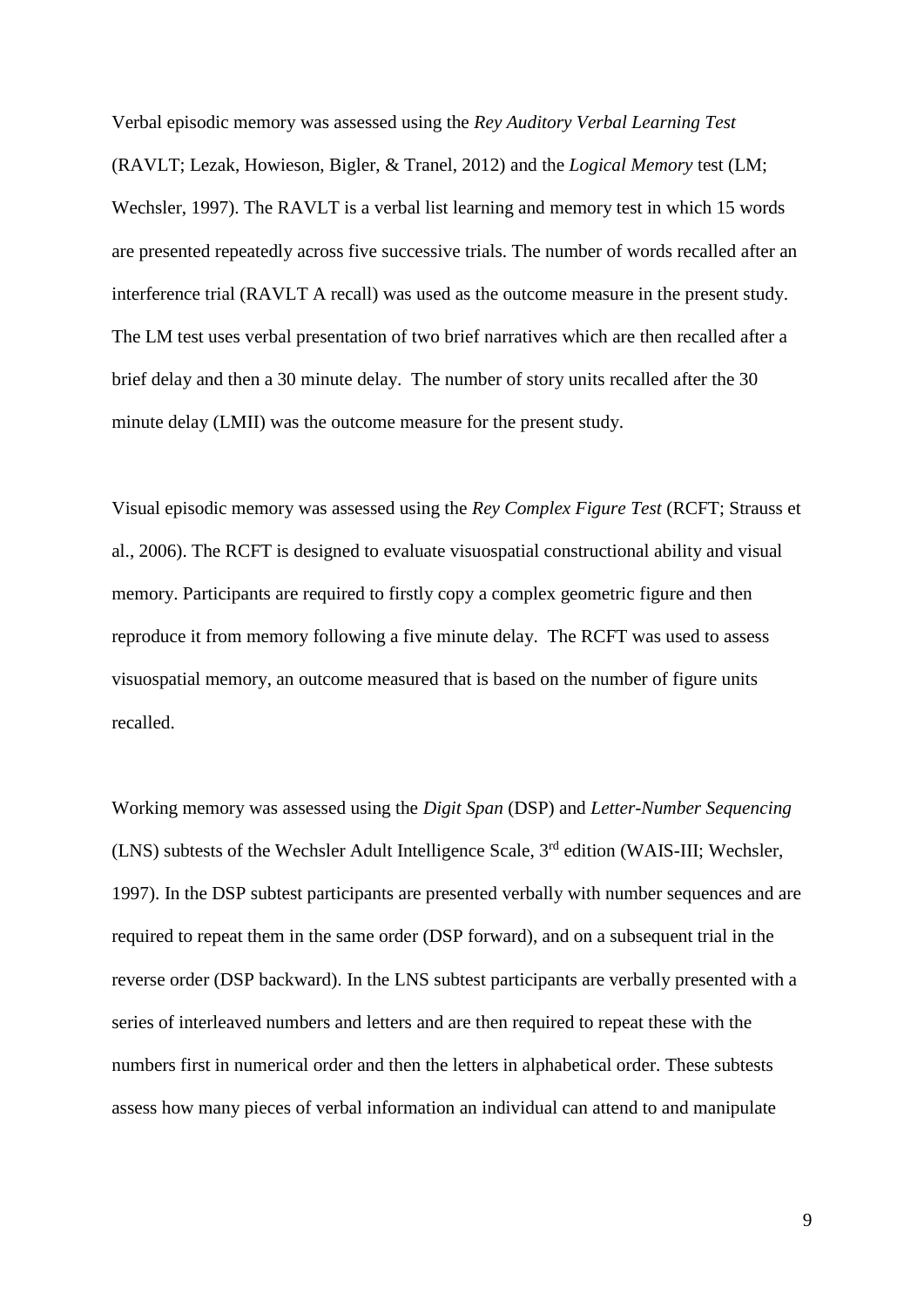Verbal episodic memory was assessed using the *Rey Auditory Verbal Learning Test*  (RAVLT; Lezak, Howieson, Bigler, & Tranel, 2012) and the *Logical Memory* test (LM; Wechsler, 1997). The RAVLT is a verbal list learning and memory test in which 15 words are presented repeatedly across five successive trials. The number of words recalled after an interference trial (RAVLT A recall) was used as the outcome measure in the present study. The LM test uses verbal presentation of two brief narratives which are then recalled after a brief delay and then a 30 minute delay. The number of story units recalled after the 30 minute delay (LMII) was the outcome measure for the present study.

Visual episodic memory was assessed using the *Rey Complex Figure Test* (RCFT; Strauss et al., 2006). The RCFT is designed to evaluate visuospatial constructional ability and visual memory. Participants are required to firstly copy a complex geometric figure and then reproduce it from memory following a five minute delay. The RCFT was used to assess visuospatial memory, an outcome measured that is based on the number of figure units recalled.

Working memory was assessed using the *Digit Span* (DSP) and *Letter-Number Sequencing* (LNS) subtests of the Wechsler Adult Intelligence Scale, 3rd edition (WAIS-III; Wechsler, 1997). In the DSP subtest participants are presented verbally with number sequences and are required to repeat them in the same order (DSP forward), and on a subsequent trial in the reverse order (DSP backward). In the LNS subtest participants are verbally presented with a series of interleaved numbers and letters and are then required to repeat these with the numbers first in numerical order and then the letters in alphabetical order. These subtests assess how many pieces of verbal information an individual can attend to and manipulate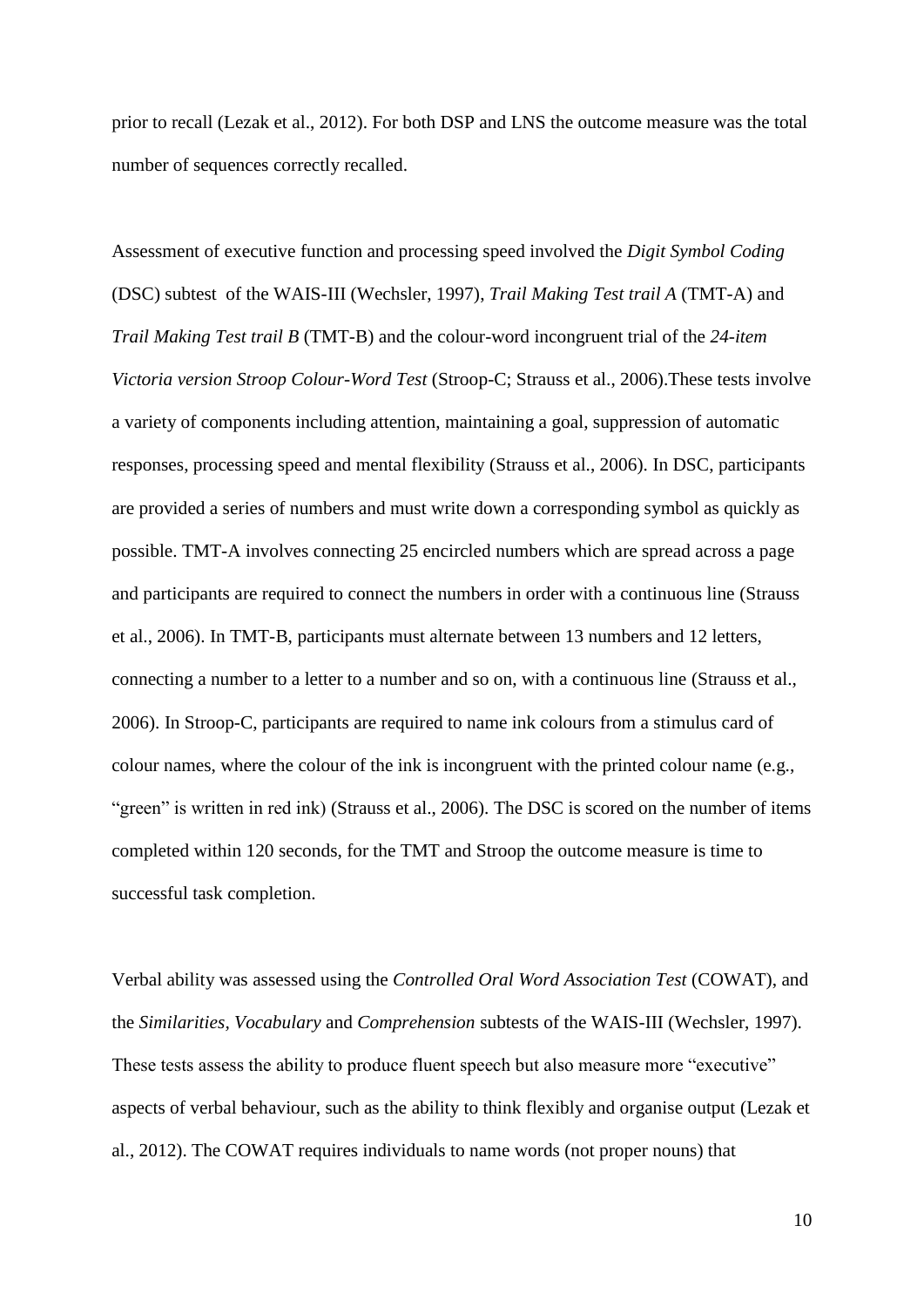prior to recall (Lezak et al., 2012). For both DSP and LNS the outcome measure was the total number of sequences correctly recalled.

Assessment of executive function and processing speed involved the *Digit Symbol Coding* (DSC) subtest of the WAIS-III (Wechsler, 1997), *Trail Making Test trail A* (TMT-A) and *Trail Making Test trail B* (TMT-B) and the colour-word incongruent trial of the *24-item Victoria version Stroop Colour-Word Test* (Stroop-C; Strauss et al., 2006).These tests involve a variety of components including attention, maintaining a goal, suppression of automatic responses, processing speed and mental flexibility (Strauss et al., 2006). In DSC, participants are provided a series of numbers and must write down a corresponding symbol as quickly as possible. TMT-A involves connecting 25 encircled numbers which are spread across a page and participants are required to connect the numbers in order with a continuous line (Strauss et al., 2006). In TMT-B, participants must alternate between 13 numbers and 12 letters, connecting a number to a letter to a number and so on, with a continuous line (Strauss et al., 2006). In Stroop-C, participants are required to name ink colours from a stimulus card of colour names, where the colour of the ink is incongruent with the printed colour name (e.g., "green" is written in red ink) (Strauss et al., 2006). The DSC is scored on the number of items completed within 120 seconds, for the TMT and Stroop the outcome measure is time to successful task completion.

Verbal ability was assessed using the *Controlled Oral Word Association Test* (COWAT), and the *Similarities, Vocabulary* and *Comprehension* subtests of the WAIS-III (Wechsler, 1997). These tests assess the ability to produce fluent speech but also measure more "executive" aspects of verbal behaviour, such as the ability to think flexibly and organise output (Lezak et al., 2012). The COWAT requires individuals to name words (not proper nouns) that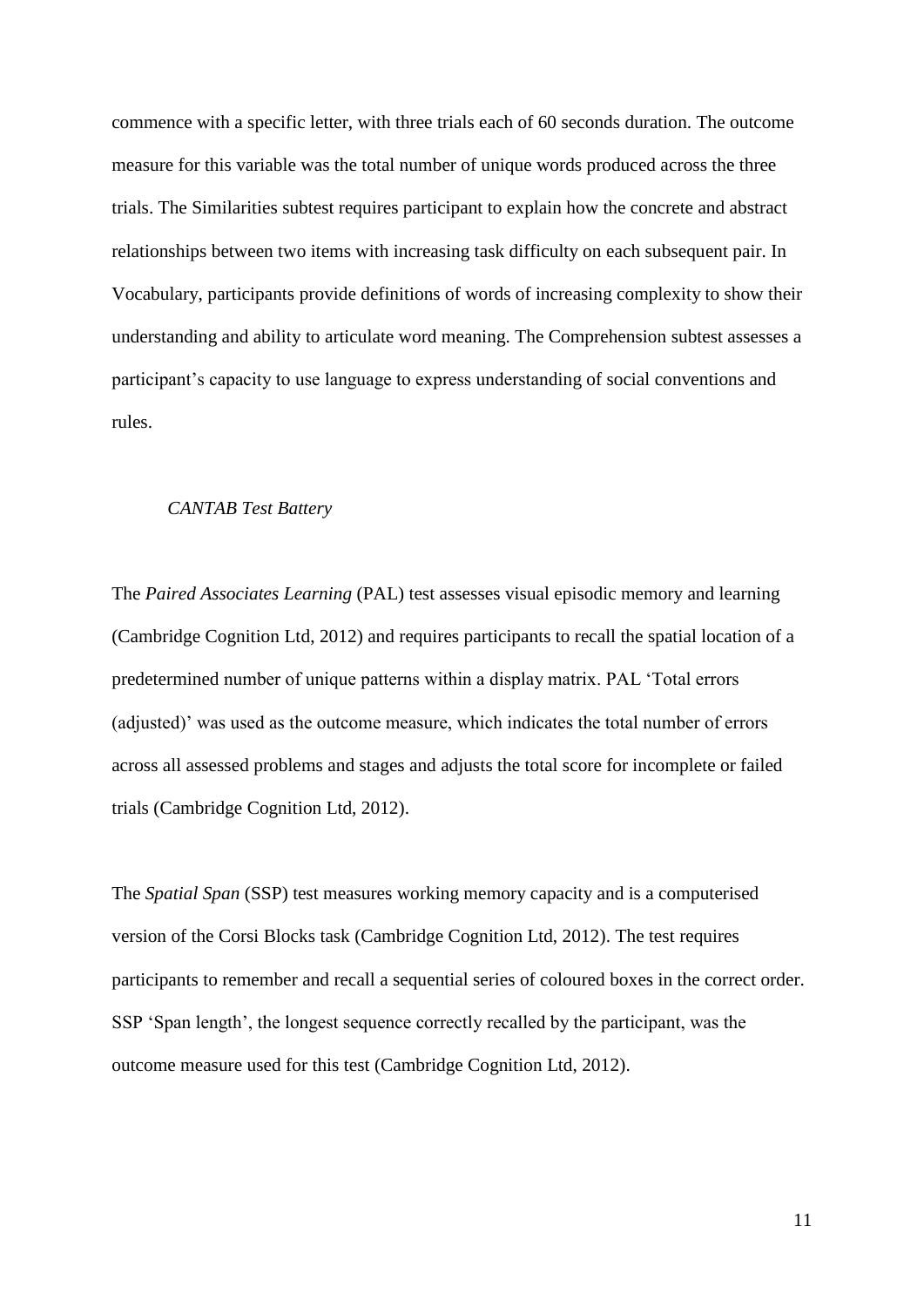commence with a specific letter, with three trials each of 60 seconds duration. The outcome measure for this variable was the total number of unique words produced across the three trials. The Similarities subtest requires participant to explain how the concrete and abstract relationships between two items with increasing task difficulty on each subsequent pair. In Vocabulary, participants provide definitions of words of increasing complexity to show their understanding and ability to articulate word meaning. The Comprehension subtest assesses a participant's capacity to use language to express understanding of social conventions and rules.

### *CANTAB Test Battery*

The *Paired Associates Learning* (PAL) test assesses visual episodic memory and learning (Cambridge Cognition Ltd, 2012) and requires participants to recall the spatial location of a predetermined number of unique patterns within a display matrix. PAL 'Total errors (adjusted)' was used as the outcome measure, which indicates the total number of errors across all assessed problems and stages and adjusts the total score for incomplete or failed trials (Cambridge Cognition Ltd, 2012).

The *Spatial Span* (SSP) test measures working memory capacity and is a computerised version of the Corsi Blocks task (Cambridge Cognition Ltd, 2012). The test requires participants to remember and recall a sequential series of coloured boxes in the correct order. SSP 'Span length', the longest sequence correctly recalled by the participant, was the outcome measure used for this test (Cambridge Cognition Ltd, 2012).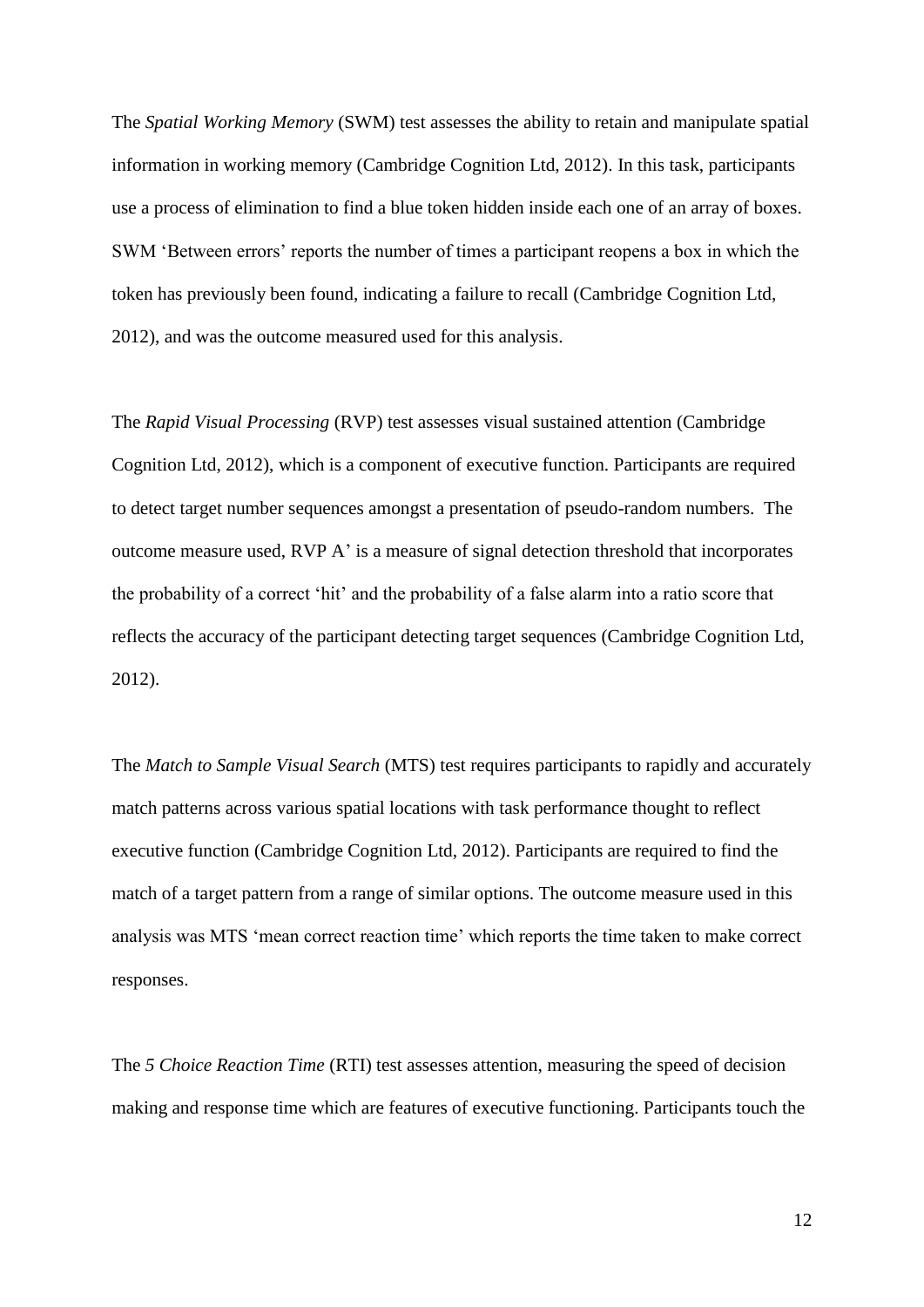The *Spatial Working Memory* (SWM) test assesses the ability to retain and manipulate spatial information in working memory (Cambridge Cognition Ltd, 2012). In this task, participants use a process of elimination to find a blue token hidden inside each one of an array of boxes. SWM 'Between errors' reports the number of times a participant reopens a box in which the token has previously been found, indicating a failure to recall (Cambridge Cognition Ltd, 2012), and was the outcome measured used for this analysis.

The *Rapid Visual Processing* (RVP) test assesses visual sustained attention (Cambridge Cognition Ltd, 2012), which is a component of executive function. Participants are required to detect target number sequences amongst a presentation of pseudo-random numbers. The outcome measure used, RVP A' is a measure of signal detection threshold that incorporates the probability of a correct 'hit' and the probability of a false alarm into a ratio score that reflects the accuracy of the participant detecting target sequences (Cambridge Cognition Ltd, 2012).

The *Match to Sample Visual Search* (MTS) test requires participants to rapidly and accurately match patterns across various spatial locations with task performance thought to reflect executive function (Cambridge Cognition Ltd, 2012). Participants are required to find the match of a target pattern from a range of similar options. The outcome measure used in this analysis was MTS 'mean correct reaction time' which reports the time taken to make correct responses.

The *5 Choice Reaction Time* (RTI) test assesses attention, measuring the speed of decision making and response time which are features of executive functioning. Participants touch the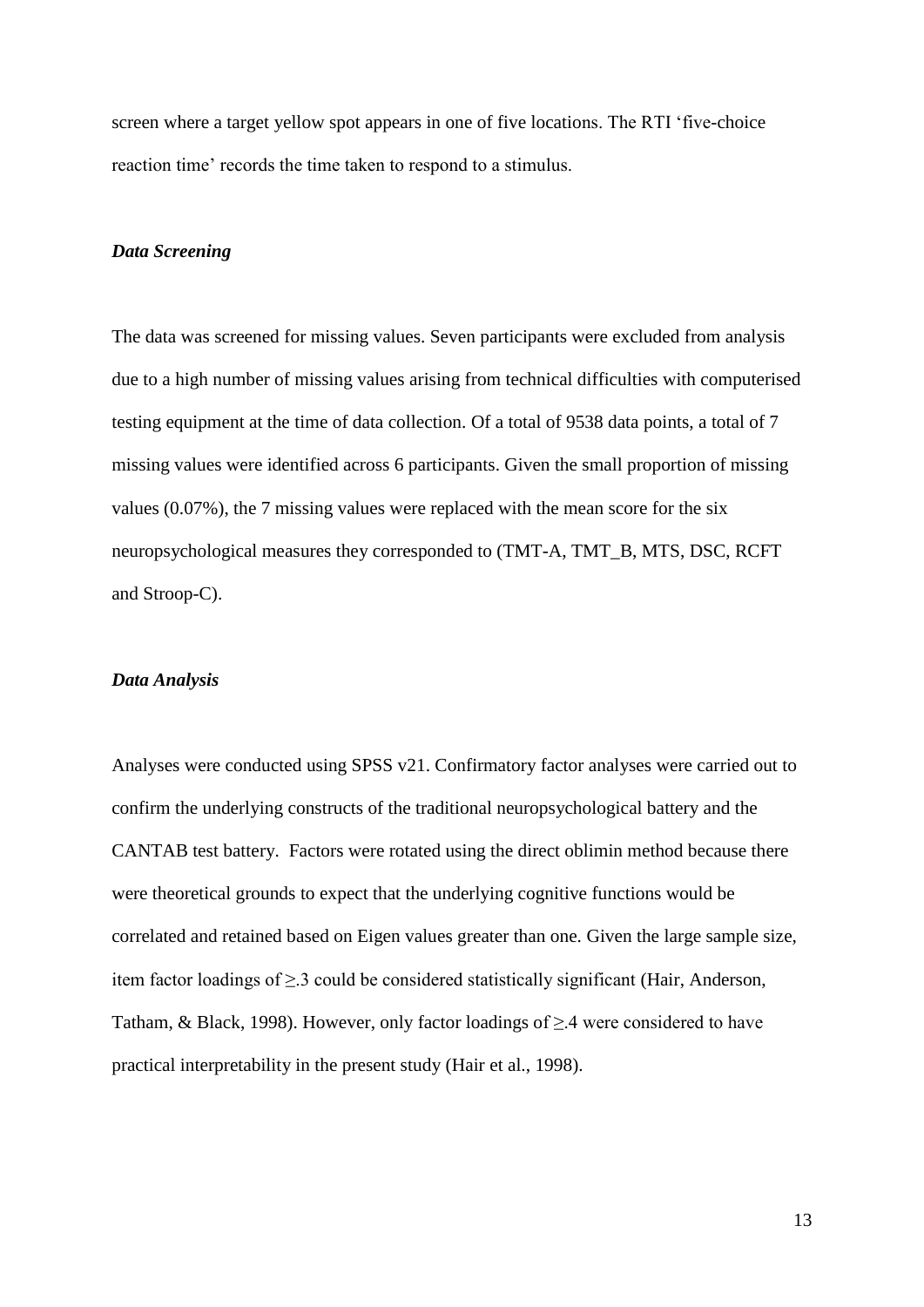screen where a target yellow spot appears in one of five locations. The RTI 'five-choice reaction time' records the time taken to respond to a stimulus.

### *Data Screening*

The data was screened for missing values. Seven participants were excluded from analysis due to a high number of missing values arising from technical difficulties with computerised testing equipment at the time of data collection. Of a total of 9538 data points, a total of 7 missing values were identified across 6 participants. Given the small proportion of missing values (0.07%), the 7 missing values were replaced with the mean score for the six neuropsychological measures they corresponded to (TMT-A, TMT\_B, MTS, DSC, RCFT and Stroop-C).

## *Data Analysis*

Analyses were conducted using SPSS v21. Confirmatory factor analyses were carried out to confirm the underlying constructs of the traditional neuropsychological battery and the CANTAB test battery. Factors were rotated using the direct oblimin method because there were theoretical grounds to expect that the underlying cognitive functions would be correlated and retained based on Eigen values greater than one. Given the large sample size, item factor loadings of ≥.3 could be considered statistically significant (Hair, Anderson, Tatham, & Black, 1998). However, only factor loadings of  $\geq$  4 were considered to have practical interpretability in the present study (Hair et al., 1998).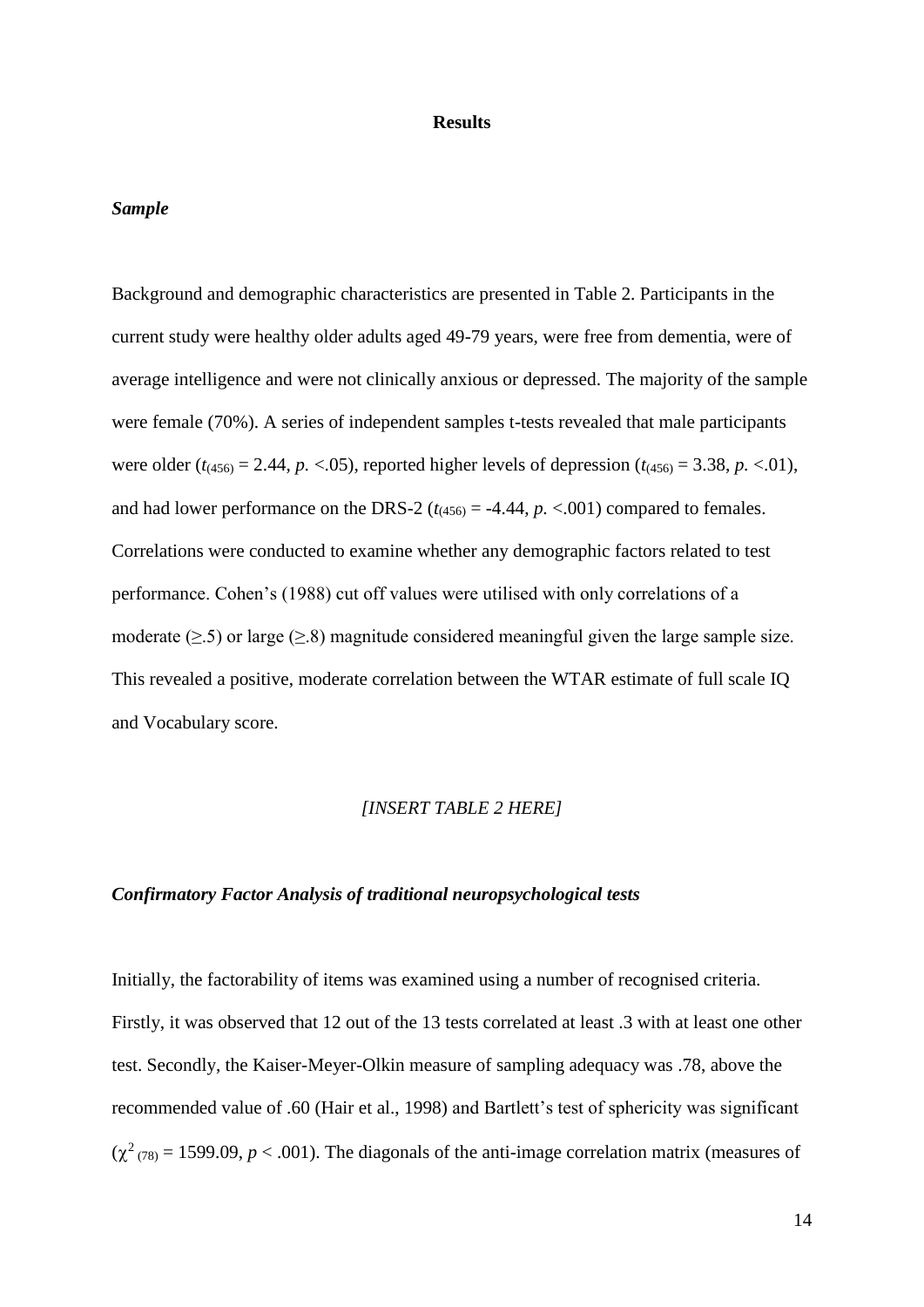### **Results**

## *Sample*

Background and demographic characteristics are presented in Table 2. Participants in the current study were healthy older adults aged 49-79 years, were free from dementia, were of average intelligence and were not clinically anxious or depressed. The majority of the sample were female (70%). A series of independent samples t-tests revealed that male participants were older  $(t_{(456)} = 2.44, p. < 0.05)$ , reported higher levels of depression  $(t_{(456)} = 3.38, p. < 0.01)$ , and had lower performance on the DRS-2 ( $t_{(456)} = -4.44$ ,  $p. < 0.001$ ) compared to females. Correlations were conducted to examine whether any demographic factors related to test performance. Cohen's (1988) cut off values were utilised with only correlations of a moderate ( $\geq$ .5) or large ( $\geq$ .8) magnitude considered meaningful given the large sample size. This revealed a positive, moderate correlation between the WTAR estimate of full scale IQ and Vocabulary score.

## *[INSERT TABLE 2 HERE]*

## *Confirmatory Factor Analysis of traditional neuropsychological tests*

Initially, the factorability of items was examined using a number of recognised criteria. Firstly, it was observed that 12 out of the 13 tests correlated at least .3 with at least one other test. Secondly, the Kaiser-Meyer-Olkin measure of sampling adequacy was .78, above the recommended value of .60 (Hair et al., 1998) and Bartlett's test of sphericity was significant  $(\chi^2_{(78)} = 1599.09, p < .001)$ . The diagonals of the anti-image correlation matrix (measures of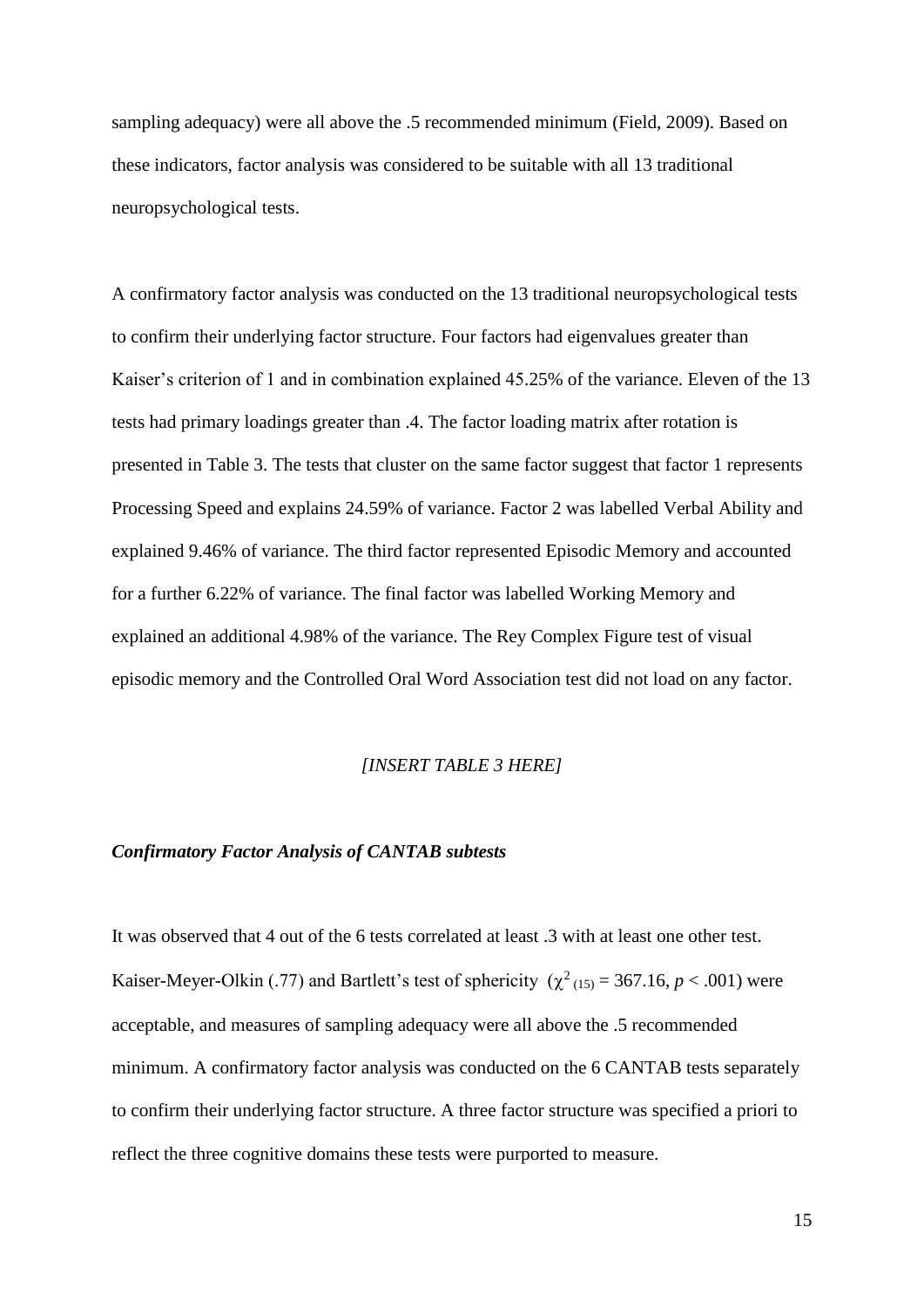sampling adequacy) were all above the .5 recommended minimum (Field, 2009). Based on these indicators, factor analysis was considered to be suitable with all 13 traditional neuropsychological tests.

A confirmatory factor analysis was conducted on the 13 traditional neuropsychological tests to confirm their underlying factor structure. Four factors had eigenvalues greater than Kaiser's criterion of 1 and in combination explained 45.25% of the variance. Eleven of the 13 tests had primary loadings greater than .4. The factor loading matrix after rotation is presented in Table 3. The tests that cluster on the same factor suggest that factor 1 represents Processing Speed and explains 24.59% of variance. Factor 2 was labelled Verbal Ability and explained 9.46% of variance. The third factor represented Episodic Memory and accounted for a further 6.22% of variance. The final factor was labelled Working Memory and explained an additional 4.98% of the variance. The Rey Complex Figure test of visual episodic memory and the Controlled Oral Word Association test did not load on any factor.

## *[INSERT TABLE 3 HERE]*

## *Confirmatory Factor Analysis of CANTAB subtests*

It was observed that 4 out of the 6 tests correlated at least .3 with at least one other test. Kaiser-Meyer-Olkin (.77) and Bartlett's test of sphericity  $(\chi^2_{(15)} = 367.16, p < .001)$  were acceptable, and measures of sampling adequacy were all above the .5 recommended minimum. A confirmatory factor analysis was conducted on the 6 CANTAB tests separately to confirm their underlying factor structure. A three factor structure was specified a priori to reflect the three cognitive domains these tests were purported to measure.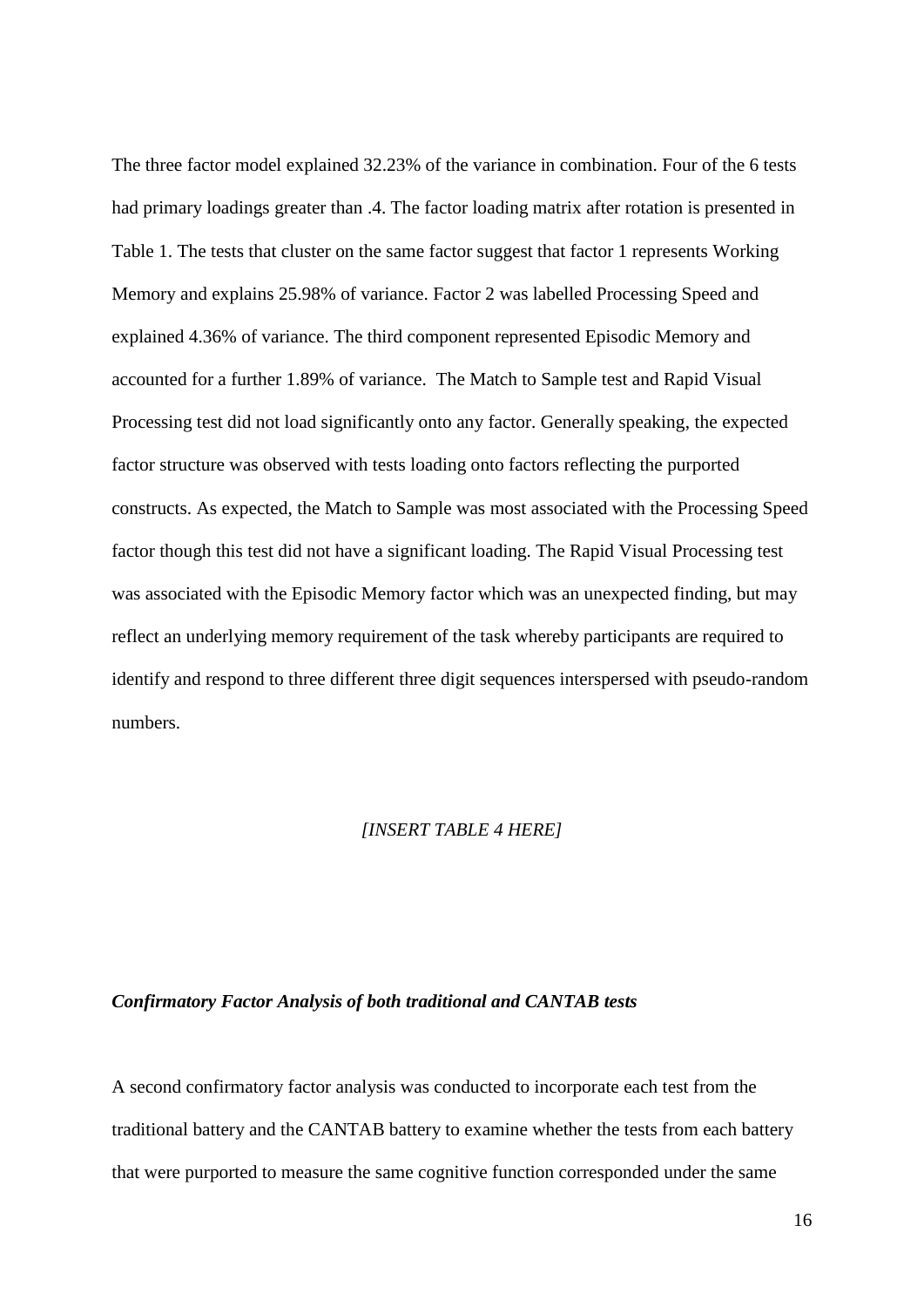The three factor model explained 32.23% of the variance in combination. Four of the 6 tests had primary loadings greater than .4. The factor loading matrix after rotation is presented in Table 1. The tests that cluster on the same factor suggest that factor 1 represents Working Memory and explains 25.98% of variance. Factor 2 was labelled Processing Speed and explained 4.36% of variance. The third component represented Episodic Memory and accounted for a further 1.89% of variance. The Match to Sample test and Rapid Visual Processing test did not load significantly onto any factor. Generally speaking, the expected factor structure was observed with tests loading onto factors reflecting the purported constructs. As expected, the Match to Sample was most associated with the Processing Speed factor though this test did not have a significant loading. The Rapid Visual Processing test was associated with the Episodic Memory factor which was an unexpected finding, but may reflect an underlying memory requirement of the task whereby participants are required to identify and respond to three different three digit sequences interspersed with pseudo-random numbers.

#### *[INSERT TABLE 4 HERE]*

## *Confirmatory Factor Analysis of both traditional and CANTAB tests*

A second confirmatory factor analysis was conducted to incorporate each test from the traditional battery and the CANTAB battery to examine whether the tests from each battery that were purported to measure the same cognitive function corresponded under the same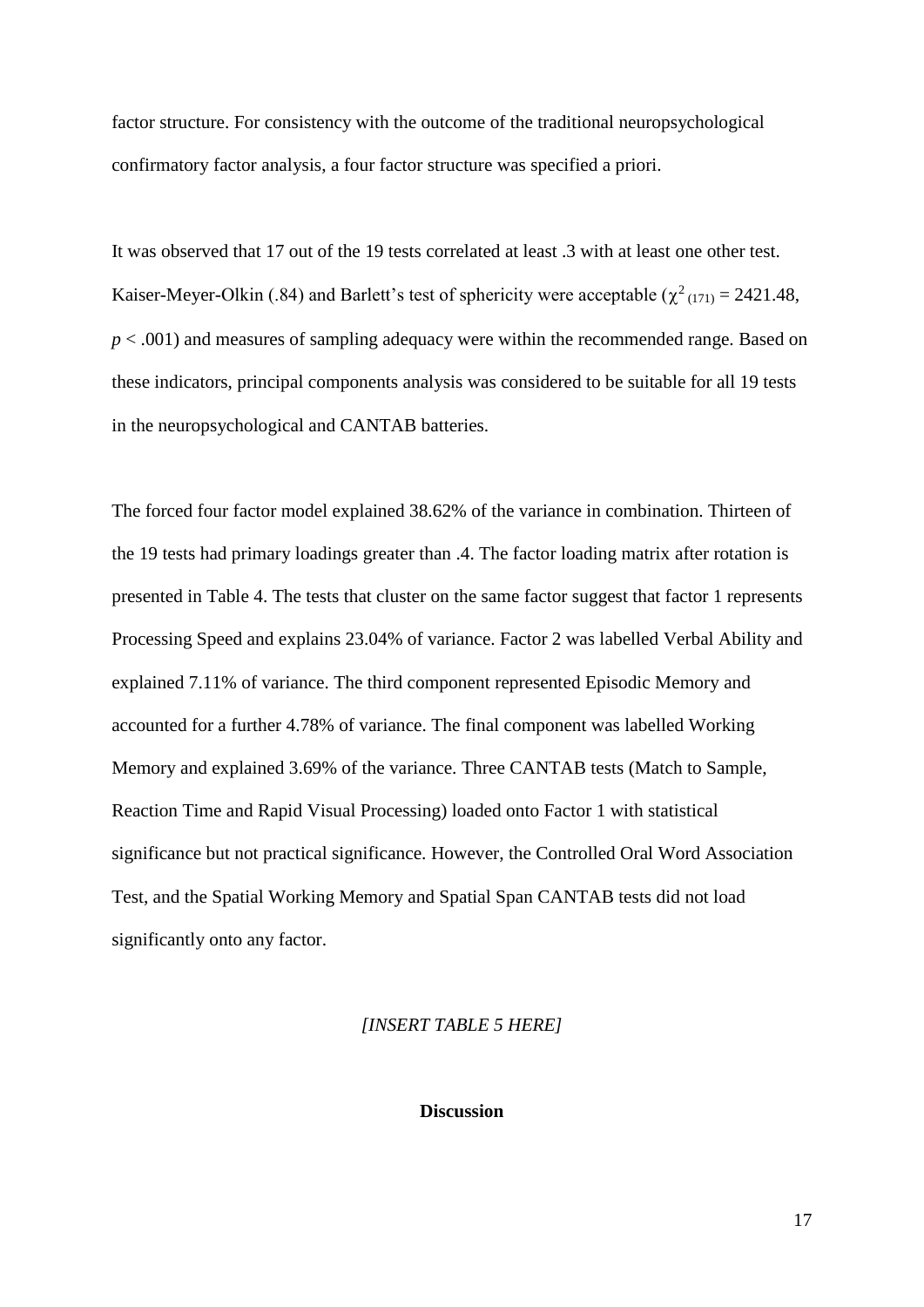factor structure. For consistency with the outcome of the traditional neuropsychological confirmatory factor analysis, a four factor structure was specified a priori.

It was observed that 17 out of the 19 tests correlated at least .3 with at least one other test. Kaiser-Meyer-Olkin (.84) and Barlett's test of sphericity were acceptable ( $\chi^2$ <sub>(171)</sub> = 2421.48, *p* < .001) and measures of sampling adequacy were within the recommended range. Based on these indicators, principal components analysis was considered to be suitable for all 19 tests in the neuropsychological and CANTAB batteries.

The forced four factor model explained 38.62% of the variance in combination. Thirteen of the 19 tests had primary loadings greater than .4. The factor loading matrix after rotation is presented in Table 4. The tests that cluster on the same factor suggest that factor 1 represents Processing Speed and explains 23.04% of variance. Factor 2 was labelled Verbal Ability and explained 7.11% of variance. The third component represented Episodic Memory and accounted for a further 4.78% of variance. The final component was labelled Working Memory and explained 3.69% of the variance. Three CANTAB tests (Match to Sample, Reaction Time and Rapid Visual Processing) loaded onto Factor 1 with statistical significance but not practical significance. However, the Controlled Oral Word Association Test, and the Spatial Working Memory and Spatial Span CANTAB tests did not load significantly onto any factor.

## *[INSERT TABLE 5 HERE]*

## **Discussion**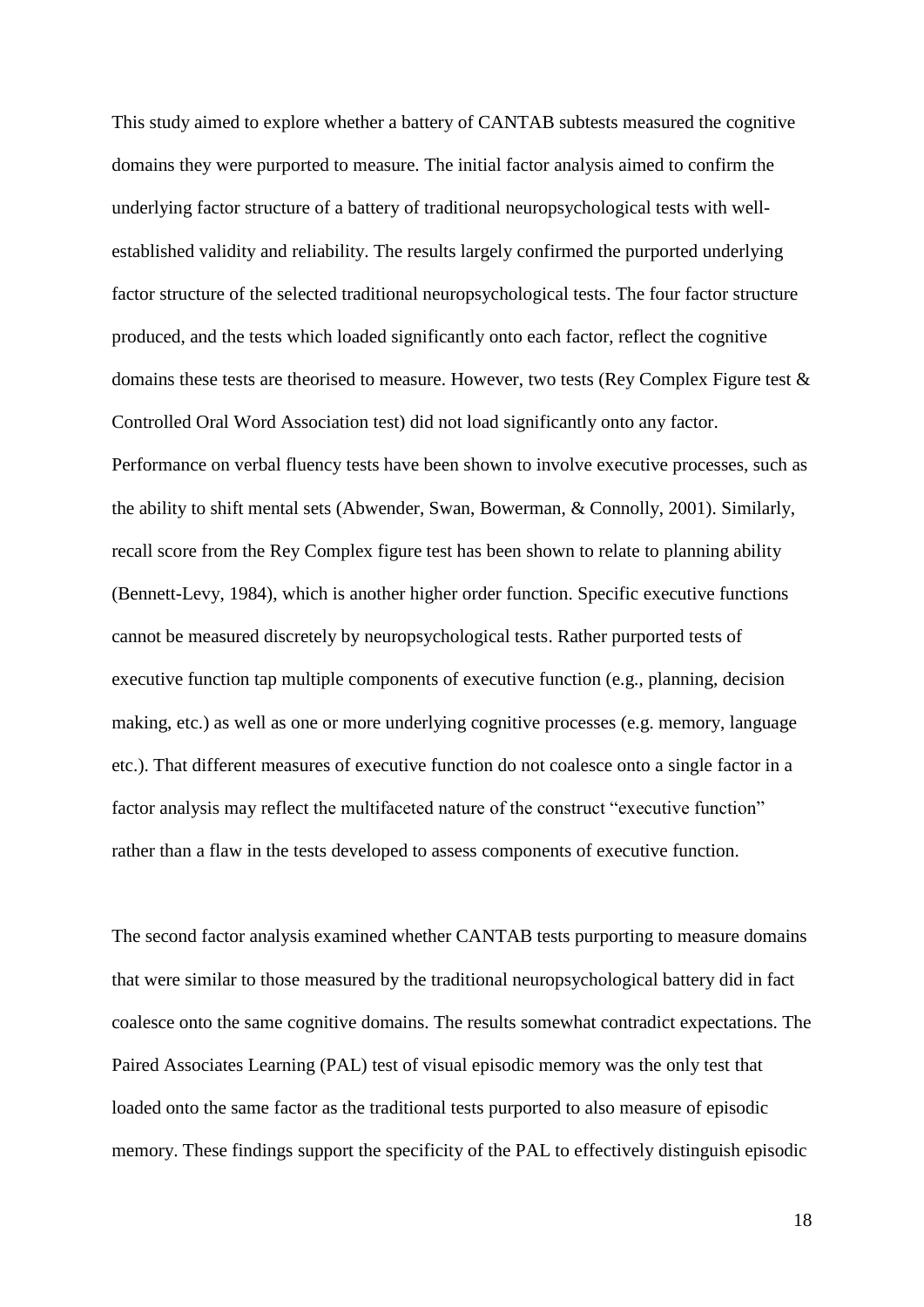This study aimed to explore whether a battery of CANTAB subtests measured the cognitive domains they were purported to measure. The initial factor analysis aimed to confirm the underlying factor structure of a battery of traditional neuropsychological tests with wellestablished validity and reliability. The results largely confirmed the purported underlying factor structure of the selected traditional neuropsychological tests. The four factor structure produced, and the tests which loaded significantly onto each factor, reflect the cognitive domains these tests are theorised to measure. However, two tests (Rey Complex Figure test & Controlled Oral Word Association test) did not load significantly onto any factor. Performance on verbal fluency tests have been shown to involve executive processes, such as the ability to shift mental sets (Abwender, Swan, Bowerman, & Connolly, 2001). Similarly, recall score from the Rey Complex figure test has been shown to relate to planning ability (Bennett-Levy, 1984), which is another higher order function. Specific executive functions cannot be measured discretely by neuropsychological tests. Rather purported tests of executive function tap multiple components of executive function (e.g., planning, decision making, etc.) as well as one or more underlying cognitive processes (e.g. memory, language etc.). That different measures of executive function do not coalesce onto a single factor in a factor analysis may reflect the multifaceted nature of the construct "executive function" rather than a flaw in the tests developed to assess components of executive function.

The second factor analysis examined whether CANTAB tests purporting to measure domains that were similar to those measured by the traditional neuropsychological battery did in fact coalesce onto the same cognitive domains. The results somewhat contradict expectations. The Paired Associates Learning (PAL) test of visual episodic memory was the only test that loaded onto the same factor as the traditional tests purported to also measure of episodic memory. These findings support the specificity of the PAL to effectively distinguish episodic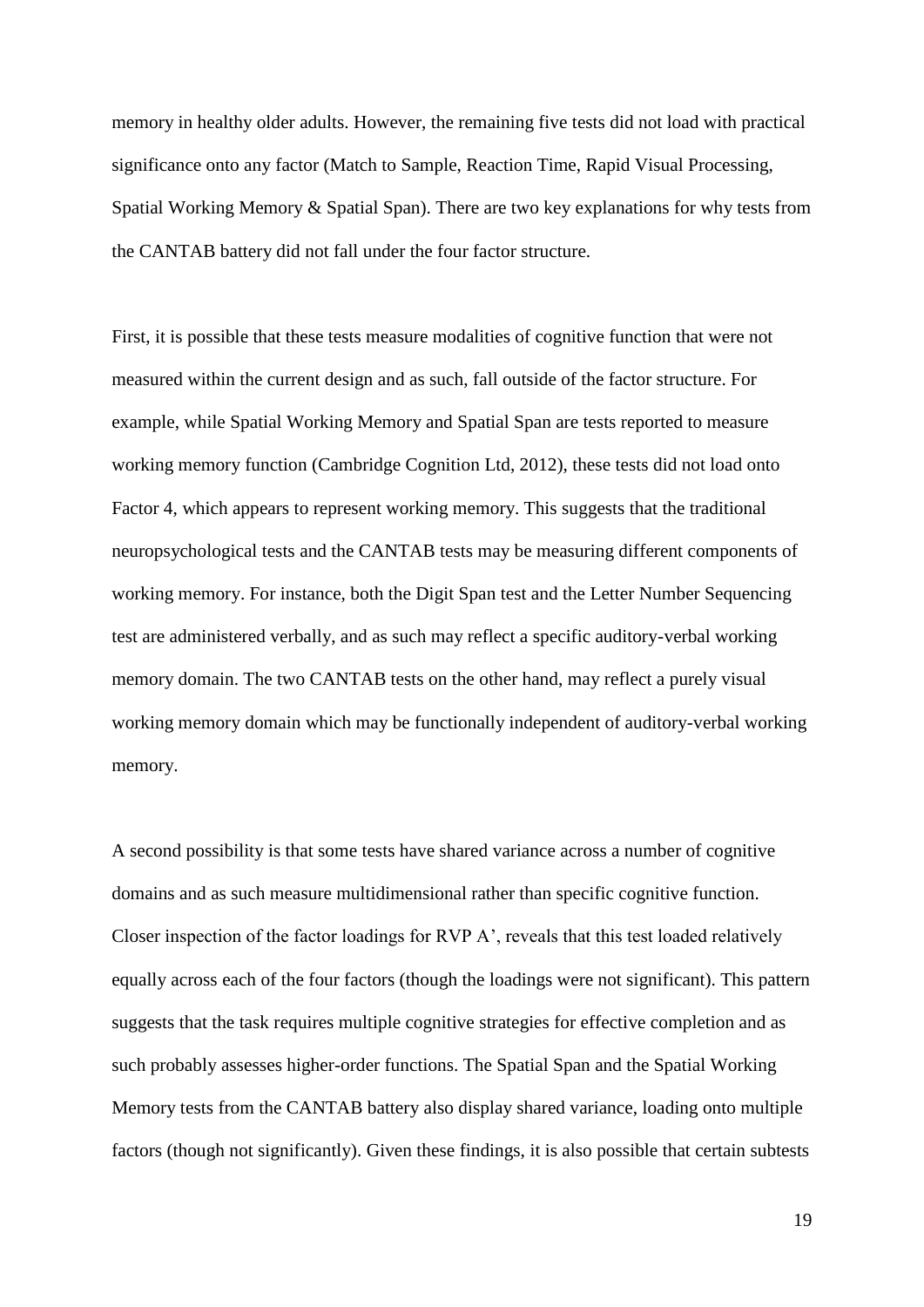memory in healthy older adults. However, the remaining five tests did not load with practical significance onto any factor (Match to Sample, Reaction Time, Rapid Visual Processing, Spatial Working Memory & Spatial Span). There are two key explanations for why tests from the CANTAB battery did not fall under the four factor structure.

First, it is possible that these tests measure modalities of cognitive function that were not measured within the current design and as such, fall outside of the factor structure. For example, while Spatial Working Memory and Spatial Span are tests reported to measure working memory function (Cambridge Cognition Ltd, 2012), these tests did not load onto Factor 4, which appears to represent working memory. This suggests that the traditional neuropsychological tests and the CANTAB tests may be measuring different components of working memory. For instance, both the Digit Span test and the Letter Number Sequencing test are administered verbally, and as such may reflect a specific auditory-verbal working memory domain. The two CANTAB tests on the other hand, may reflect a purely visual working memory domain which may be functionally independent of auditory-verbal working memory.

A second possibility is that some tests have shared variance across a number of cognitive domains and as such measure multidimensional rather than specific cognitive function. Closer inspection of the factor loadings for RVP A', reveals that this test loaded relatively equally across each of the four factors (though the loadings were not significant). This pattern suggests that the task requires multiple cognitive strategies for effective completion and as such probably assesses higher-order functions. The Spatial Span and the Spatial Working Memory tests from the CANTAB battery also display shared variance, loading onto multiple factors (though not significantly). Given these findings, it is also possible that certain subtests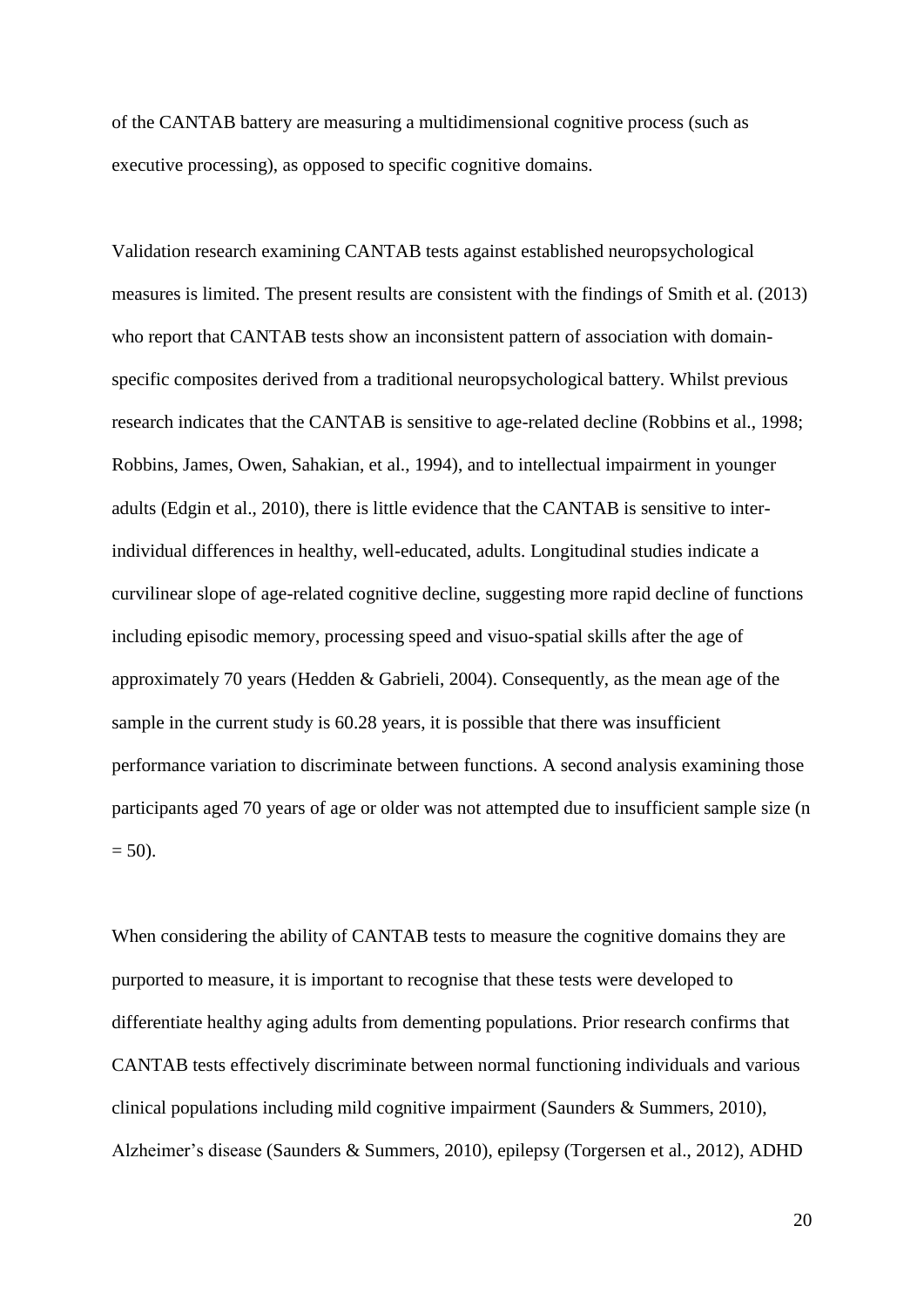of the CANTAB battery are measuring a multidimensional cognitive process (such as executive processing), as opposed to specific cognitive domains.

Validation research examining CANTAB tests against established neuropsychological measures is limited. The present results are consistent with the findings of Smith et al. (2013) who report that CANTAB tests show an inconsistent pattern of association with domainspecific composites derived from a traditional neuropsychological battery. Whilst previous research indicates that the CANTAB is sensitive to age-related decline (Robbins et al., 1998; Robbins, James, Owen, Sahakian, et al., 1994), and to intellectual impairment in younger adults (Edgin et al., 2010), there is little evidence that the CANTAB is sensitive to interindividual differences in healthy, well-educated, adults. Longitudinal studies indicate a curvilinear slope of age-related cognitive decline, suggesting more rapid decline of functions including episodic memory, processing speed and visuo-spatial skills after the age of approximately 70 years (Hedden & Gabrieli, 2004). Consequently, as the mean age of the sample in the current study is 60.28 years, it is possible that there was insufficient performance variation to discriminate between functions. A second analysis examining those participants aged 70 years of age or older was not attempted due to insufficient sample size (n  $= 50$ ).

When considering the ability of CANTAB tests to measure the cognitive domains they are purported to measure, it is important to recognise that these tests were developed to differentiate healthy aging adults from dementing populations. Prior research confirms that CANTAB tests effectively discriminate between normal functioning individuals and various clinical populations including mild cognitive impairment (Saunders & Summers, 2010), Alzheimer's disease (Saunders & Summers, 2010), epilepsy (Torgersen et al., 2012), ADHD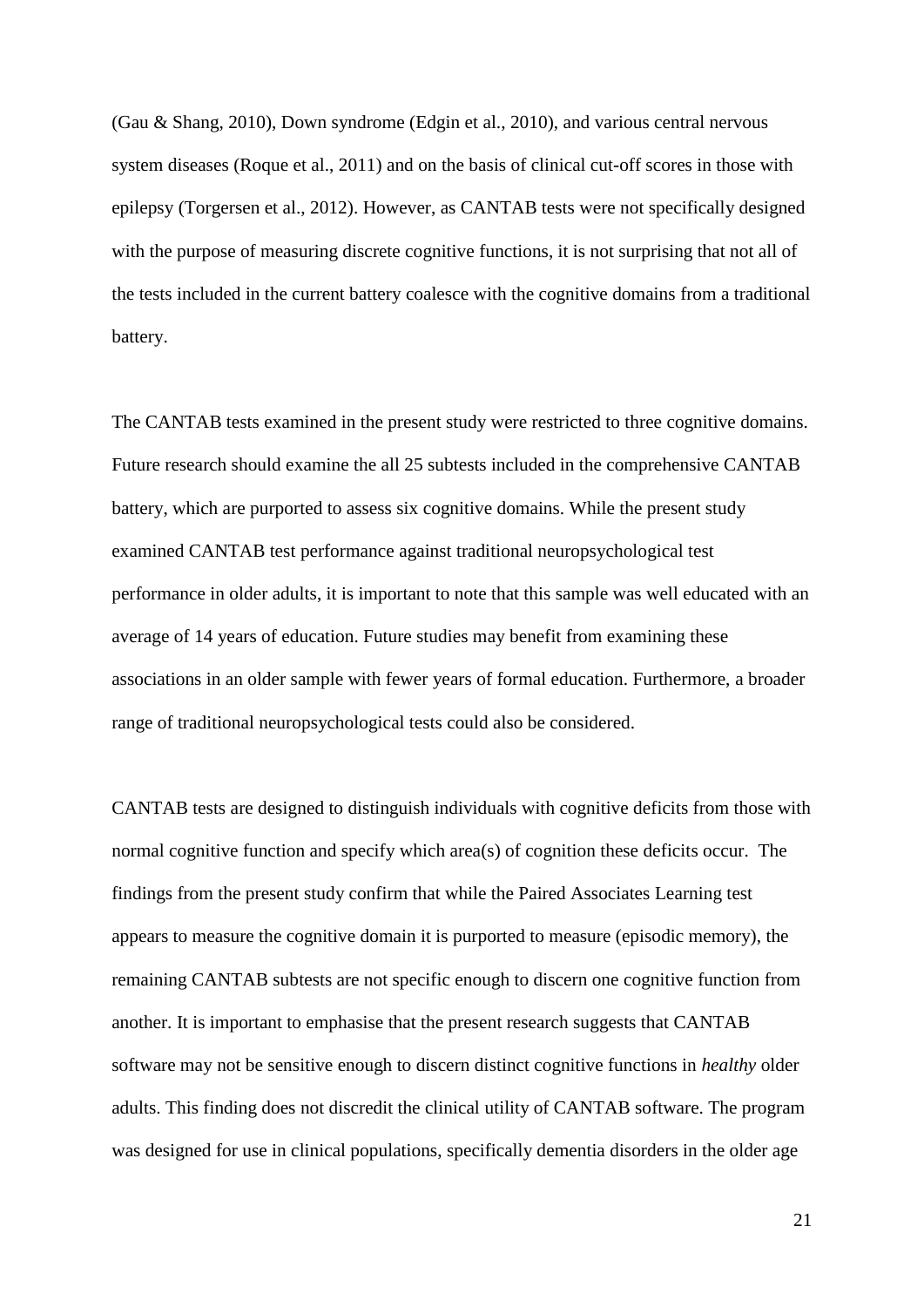(Gau & Shang, 2010), Down syndrome (Edgin et al., 2010), and various central nervous system diseases (Roque et al., 2011) and on the basis of clinical cut-off scores in those with epilepsy (Torgersen et al., 2012). However, as CANTAB tests were not specifically designed with the purpose of measuring discrete cognitive functions, it is not surprising that not all of the tests included in the current battery coalesce with the cognitive domains from a traditional battery.

The CANTAB tests examined in the present study were restricted to three cognitive domains. Future research should examine the all 25 subtests included in the comprehensive CANTAB battery, which are purported to assess six cognitive domains. While the present study examined CANTAB test performance against traditional neuropsychological test performance in older adults, it is important to note that this sample was well educated with an average of 14 years of education. Future studies may benefit from examining these associations in an older sample with fewer years of formal education. Furthermore, a broader range of traditional neuropsychological tests could also be considered.

CANTAB tests are designed to distinguish individuals with cognitive deficits from those with normal cognitive function and specify which area(s) of cognition these deficits occur. The findings from the present study confirm that while the Paired Associates Learning test appears to measure the cognitive domain it is purported to measure (episodic memory), the remaining CANTAB subtests are not specific enough to discern one cognitive function from another. It is important to emphasise that the present research suggests that CANTAB software may not be sensitive enough to discern distinct cognitive functions in *healthy* older adults. This finding does not discredit the clinical utility of CANTAB software. The program was designed for use in clinical populations, specifically dementia disorders in the older age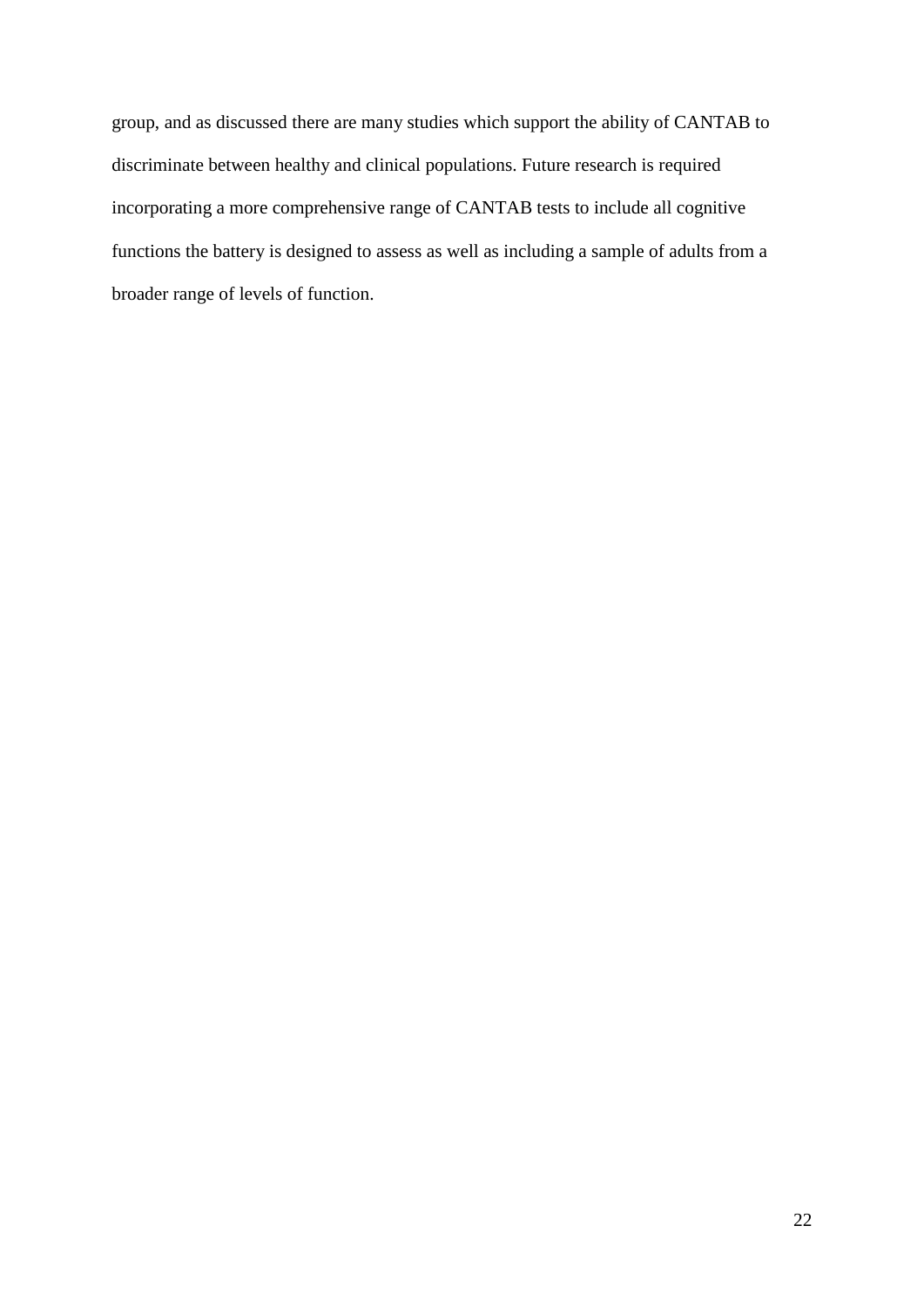group, and as discussed there are many studies which support the ability of CANTAB to discriminate between healthy and clinical populations. Future research is required incorporating a more comprehensive range of CANTAB tests to include all cognitive functions the battery is designed to assess as well as including a sample of adults from a broader range of levels of function.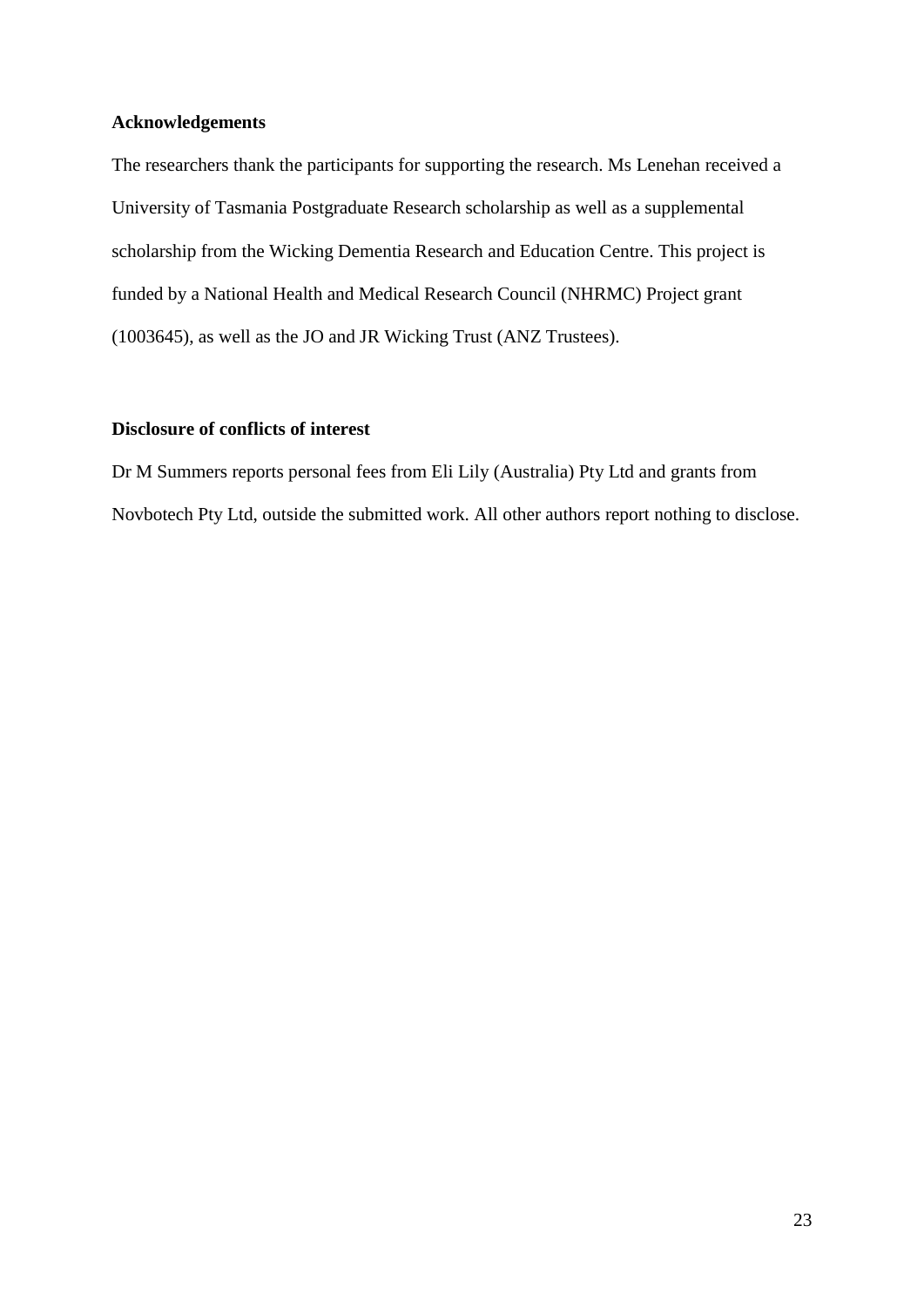## **Acknowledgements**

The researchers thank the participants for supporting the research. Ms Lenehan received a University of Tasmania Postgraduate Research scholarship as well as a supplemental scholarship from the Wicking Dementia Research and Education Centre. This project is funded by a National Health and Medical Research Council (NHRMC) Project grant (1003645), as well as the JO and JR Wicking Trust (ANZ Trustees).

## **Disclosure of conflicts of interest**

Dr M Summers reports personal fees from Eli Lily (Australia) Pty Ltd and grants from Novbotech Pty Ltd, outside the submitted work. All other authors report nothing to disclose.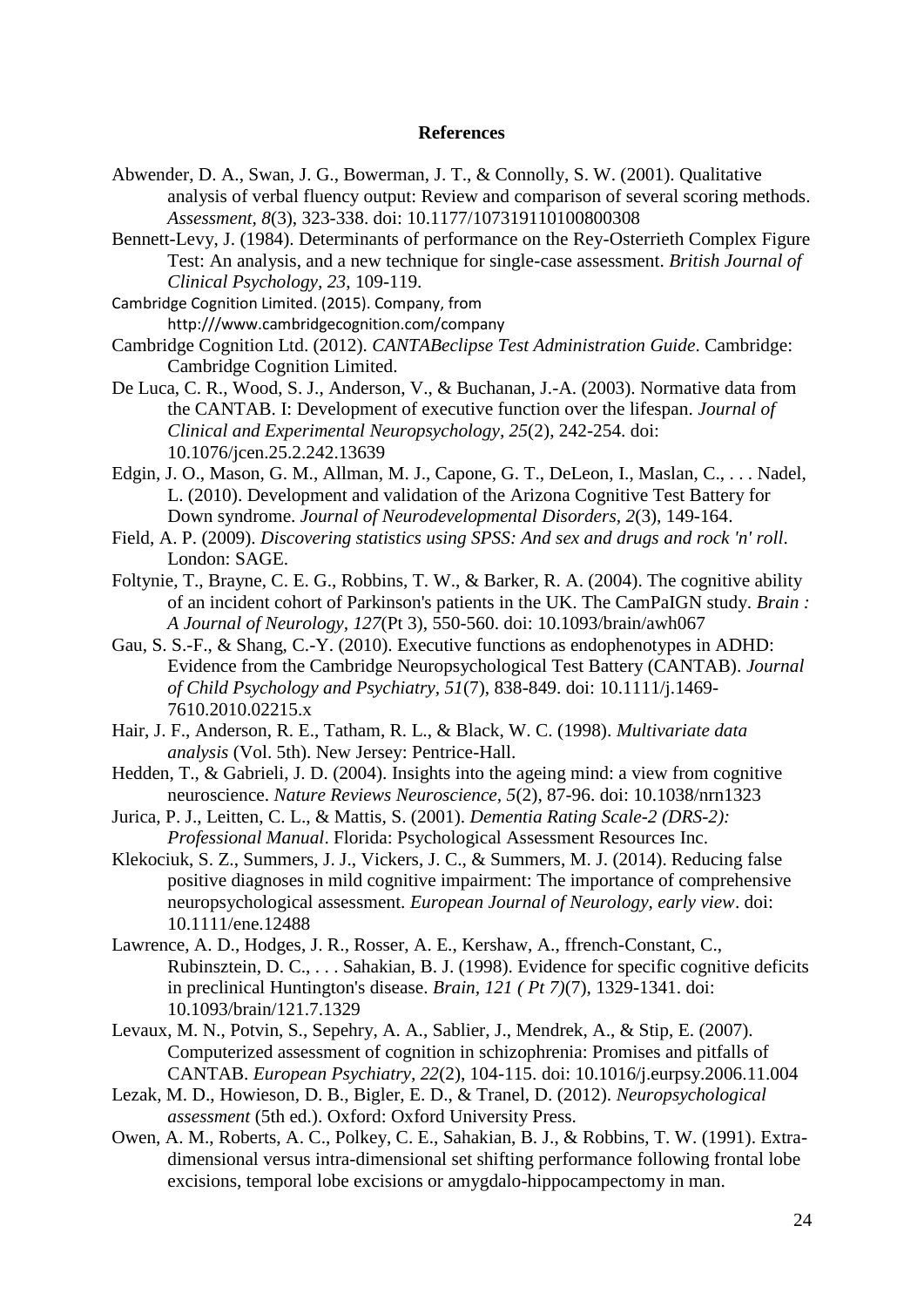#### **References**

- Abwender, D. A., Swan, J. G., Bowerman, J. T., & Connolly, S. W. (2001). Qualitative analysis of verbal fluency output: Review and comparison of several scoring methods. *Assessment, 8*(3), 323-338. doi: 10.1177/107319110100800308
- Bennett-Levy, J. (1984). Determinants of performance on the Rey-Osterrieth Complex Figure Test: An analysis, and a new technique for single-case assessment. *British Journal of Clinical Psychology, 23*, 109-119.

Cambridge Cognition Limited. (2015). Company, from http:///www.cambridgecognition.com/company

- Cambridge Cognition Ltd. (2012). *CANTABeclipse Test Administration Guide*. Cambridge: Cambridge Cognition Limited.
- De Luca, C. R., Wood, S. J., Anderson, V., & Buchanan, J.-A. (2003). Normative data from the CANTAB. I: Development of executive function over the lifespan. *Journal of Clinical and Experimental Neuropsychology, 25*(2), 242-254. doi: 10.1076/jcen.25.2.242.13639
- Edgin, J. O., Mason, G. M., Allman, M. J., Capone, G. T., DeLeon, I., Maslan, C., . . . Nadel, L. (2010). Development and validation of the Arizona Cognitive Test Battery for Down syndrome. *Journal of Neurodevelopmental Disorders, 2*(3), 149-164.
- Field, A. P. (2009). *Discovering statistics using SPSS: And sex and drugs and rock 'n' roll*. London: SAGE.
- Foltynie, T., Brayne, C. E. G., Robbins, T. W., & Barker, R. A. (2004). The cognitive ability of an incident cohort of Parkinson's patients in the UK. The CamPaIGN study. *Brain : A Journal of Neurology, 127*(Pt 3), 550-560. doi: 10.1093/brain/awh067
- Gau, S. S.-F., & Shang, C.-Y. (2010). Executive functions as endophenotypes in ADHD: Evidence from the Cambridge Neuropsychological Test Battery (CANTAB). *Journal of Child Psychology and Psychiatry, 51*(7), 838-849. doi: 10.1111/j.1469- 7610.2010.02215.x
- Hair, J. F., Anderson, R. E., Tatham, R. L., & Black, W. C. (1998). *Multivariate data analysis* (Vol. 5th). New Jersey: Pentrice-Hall.
- Hedden, T., & Gabrieli, J. D. (2004). Insights into the ageing mind: a view from cognitive neuroscience. *Nature Reviews Neuroscience, 5*(2), 87-96. doi: 10.1038/nrn1323
- Jurica, P. J., Leitten, C. L., & Mattis, S. (2001). *Dementia Rating Scale-2 (DRS-2): Professional Manual*. Florida: Psychological Assessment Resources Inc.
- Klekociuk, S. Z., Summers, J. J., Vickers, J. C., & Summers, M. J. (2014). Reducing false positive diagnoses in mild cognitive impairment: The importance of comprehensive neuropsychological assessment. *European Journal of Neurology, early view*. doi: 10.1111/ene.12488
- Lawrence, A. D., Hodges, J. R., Rosser, A. E., Kershaw, A., ffrench-Constant, C., Rubinsztein, D. C., . . . Sahakian, B. J. (1998). Evidence for specific cognitive deficits in preclinical Huntington's disease. *Brain, 121 ( Pt 7)*(7), 1329-1341. doi: 10.1093/brain/121.7.1329
- Levaux, M. N., Potvin, S., Sepehry, A. A., Sablier, J., Mendrek, A., & Stip, E. (2007). Computerized assessment of cognition in schizophrenia: Promises and pitfalls of CANTAB. *European Psychiatry, 22*(2), 104-115. doi: 10.1016/j.eurpsy.2006.11.004
- Lezak, M. D., Howieson, D. B., Bigler, E. D., & Tranel, D. (2012). *Neuropsychological assessment* (5th ed.). Oxford: Oxford University Press.
- Owen, A. M., Roberts, A. C., Polkey, C. E., Sahakian, B. J., & Robbins, T. W. (1991). Extradimensional versus intra-dimensional set shifting performance following frontal lobe excisions, temporal lobe excisions or amygdalo-hippocampectomy in man.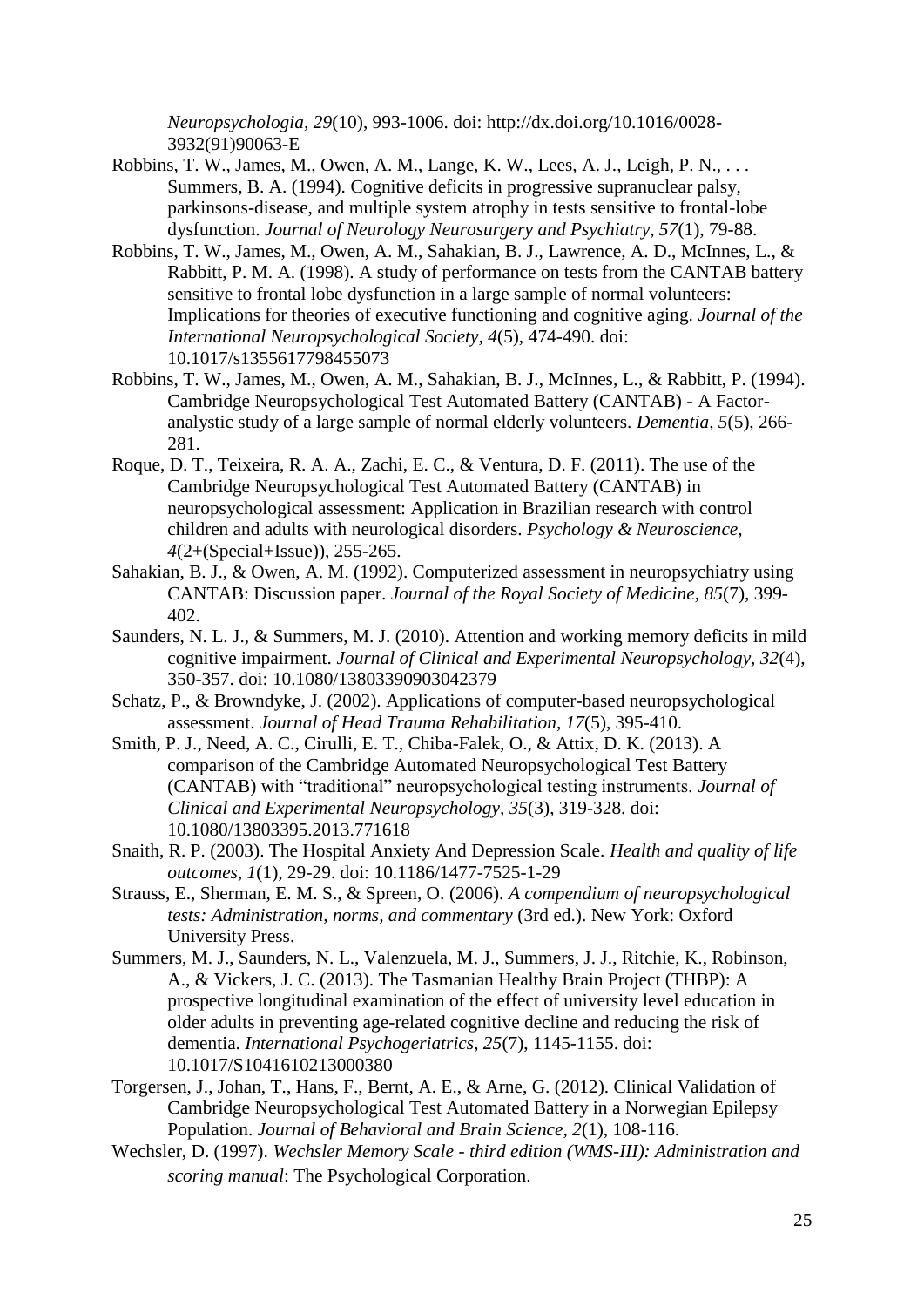*Neuropsychologia, 29*(10), 993-1006. doi: http://dx.doi.org/10.1016/0028- 3932(91)90063-E

- Robbins, T. W., James, M., Owen, A. M., Lange, K. W., Lees, A. J., Leigh, P. N., . . . Summers, B. A. (1994). Cognitive deficits in progressive supranuclear palsy, parkinsons-disease, and multiple system atrophy in tests sensitive to frontal-lobe dysfunction. *Journal of Neurology Neurosurgery and Psychiatry, 57*(1), 79-88.
- Robbins, T. W., James, M., Owen, A. M., Sahakian, B. J., Lawrence, A. D., McInnes, L., & Rabbitt, P. M. A. (1998). A study of performance on tests from the CANTAB battery sensitive to frontal lobe dysfunction in a large sample of normal volunteers: Implications for theories of executive functioning and cognitive aging. *Journal of the International Neuropsychological Society, 4*(5), 474-490. doi: 10.1017/s1355617798455073
- Robbins, T. W., James, M., Owen, A. M., Sahakian, B. J., McInnes, L., & Rabbitt, P. (1994). Cambridge Neuropsychological Test Automated Battery (CANTAB) - A Factoranalystic study of a large sample of normal elderly volunteers. *Dementia, 5*(5), 266- 281.
- Roque, D. T., Teixeira, R. A. A., Zachi, E. C., & Ventura, D. F. (2011). The use of the Cambridge Neuropsychological Test Automated Battery (CANTAB) in neuropsychological assessment: Application in Brazilian research with control children and adults with neurological disorders. *Psychology & Neuroscience, 4*(2+(Special+Issue)), 255-265.
- Sahakian, B. J., & Owen, A. M. (1992). Computerized assessment in neuropsychiatry using CANTAB: Discussion paper. *Journal of the Royal Society of Medicine, 85*(7), 399- 402.
- Saunders, N. L. J., & Summers, M. J. (2010). Attention and working memory deficits in mild cognitive impairment. *Journal of Clinical and Experimental Neuropsychology, 32*(4), 350-357. doi: 10.1080/13803390903042379
- Schatz, P., & Browndyke, J. (2002). Applications of computer-based neuropsychological assessment. *Journal of Head Trauma Rehabilitation, 17*(5), 395-410.
- Smith, P. J., Need, A. C., Cirulli, E. T., Chiba-Falek, O., & Attix, D. K. (2013). A comparison of the Cambridge Automated Neuropsychological Test Battery (CANTAB) with "traditional" neuropsychological testing instruments. *Journal of Clinical and Experimental Neuropsychology, 35*(3), 319-328. doi: 10.1080/13803395.2013.771618
- Snaith, R. P. (2003). The Hospital Anxiety And Depression Scale. *Health and quality of life outcomes, 1*(1), 29-29. doi: 10.1186/1477-7525-1-29
- Strauss, E., Sherman, E. M. S., & Spreen, O. (2006). *A compendium of neuropsychological tests: Administration, norms, and commentary* (3rd ed.). New York: Oxford University Press.
- Summers, M. J., Saunders, N. L., Valenzuela, M. J., Summers, J. J., Ritchie, K., Robinson, A., & Vickers, J. C. (2013). The Tasmanian Healthy Brain Project (THBP): A prospective longitudinal examination of the effect of university level education in older adults in preventing age-related cognitive decline and reducing the risk of dementia. *International Psychogeriatrics, 25*(7), 1145-1155. doi: 10.1017/S1041610213000380
- Torgersen, J., Johan, T., Hans, F., Bernt, A. E., & Arne, G. (2012). Clinical Validation of Cambridge Neuropsychological Test Automated Battery in a Norwegian Epilepsy Population. *Journal of Behavioral and Brain Science, 2*(1), 108-116.
- Wechsler, D. (1997). *Wechsler Memory Scale - third edition (WMS-III): Administration and scoring manual*: The Psychological Corporation.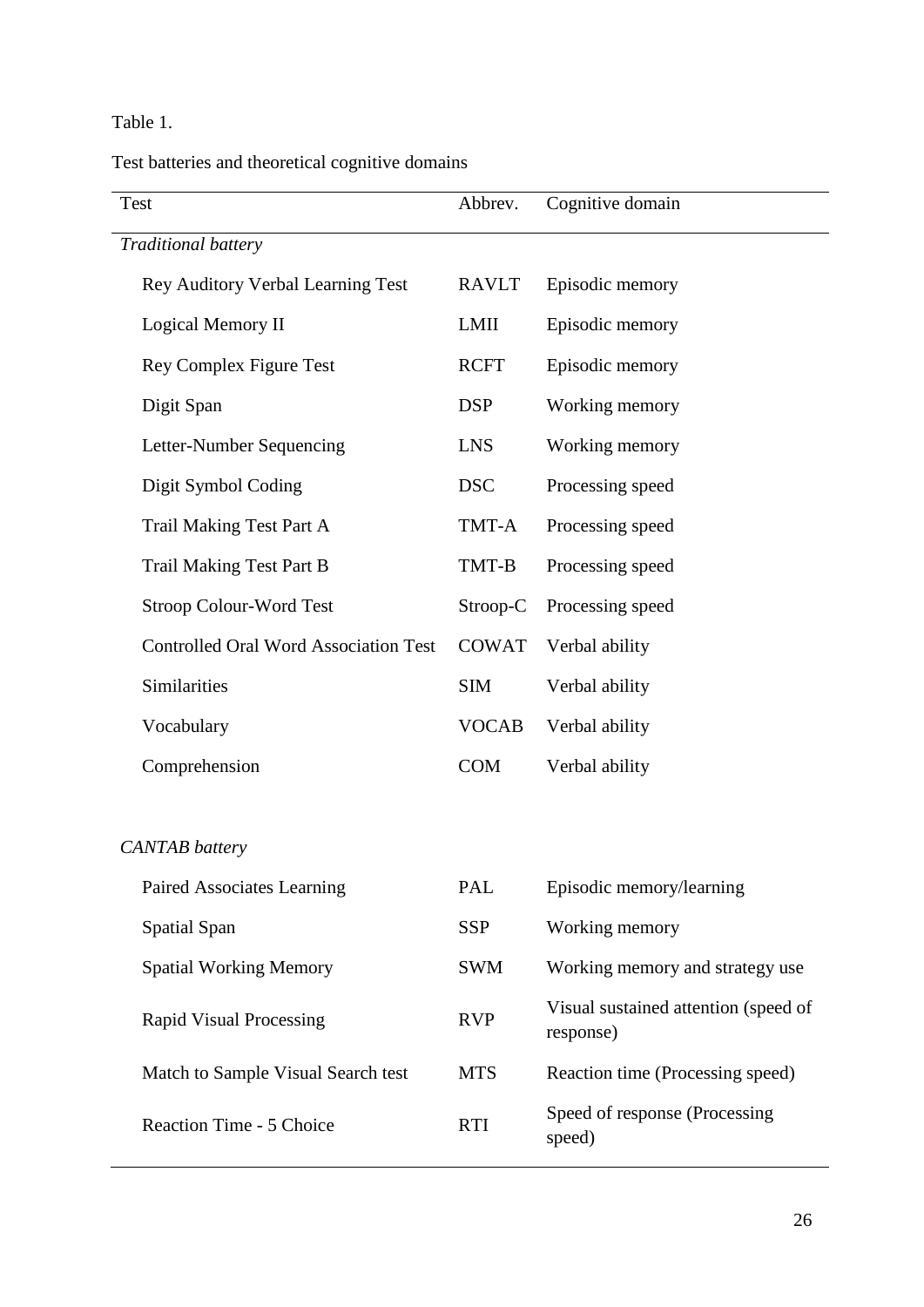## Table 1.

Test batteries and theoretical cognitive domains

| <b>Test</b>                                  | Abbrev.      | Cognitive domain                                  |
|----------------------------------------------|--------------|---------------------------------------------------|
| Traditional battery                          |              |                                                   |
| <b>Rey Auditory Verbal Learning Test</b>     | <b>RAVLT</b> | Episodic memory                                   |
| Logical Memory II                            | LMII         | Episodic memory                                   |
| Rey Complex Figure Test                      | <b>RCFT</b>  | Episodic memory                                   |
| Digit Span                                   | <b>DSP</b>   | Working memory                                    |
| Letter-Number Sequencing                     | <b>LNS</b>   | Working memory                                    |
| Digit Symbol Coding                          | <b>DSC</b>   | Processing speed                                  |
| <b>Trail Making Test Part A</b>              | TMT-A        | Processing speed                                  |
| <b>Trail Making Test Part B</b>              | TMT-B        | Processing speed                                  |
| Stroop Colour-Word Test                      | Stroop-C     | Processing speed                                  |
| <b>Controlled Oral Word Association Test</b> | <b>COWAT</b> | Verbal ability                                    |
| Similarities                                 | <b>SIM</b>   | Verbal ability                                    |
| Vocabulary                                   | <b>VOCAB</b> | Verbal ability                                    |
| Comprehension                                | <b>COM</b>   | Verbal ability                                    |
|                                              |              |                                                   |
| <b>CANTAB</b> battery                        |              |                                                   |
| Paired Associates Learning                   | PAL          | Episodic memory/learning                          |
| <b>Spatial Span</b>                          | <b>SSP</b>   | Working memory                                    |
| <b>Spatial Working Memory</b>                | <b>SWM</b>   | Working memory and strategy use                   |
| <b>Rapid Visual Processing</b>               | <b>RVP</b>   | Visual sustained attention (speed of<br>response) |
| Match to Sample Visual Search test           | <b>MTS</b>   | Reaction time (Processing speed)                  |
| Reaction Time - 5 Choice                     | <b>RTI</b>   | Speed of response (Processing<br>speed)           |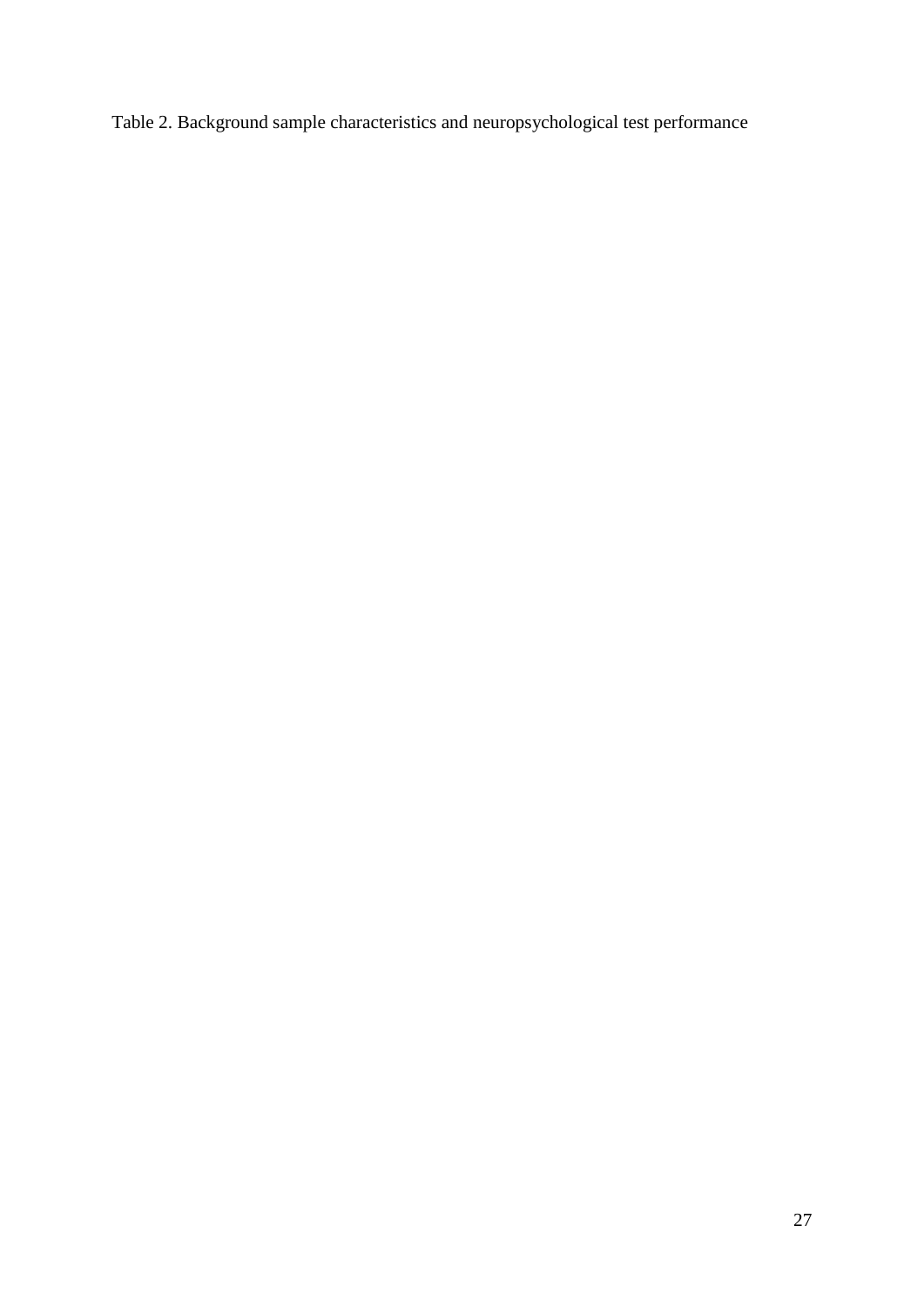Table 2. Background sample characteristics and neuropsychological test performance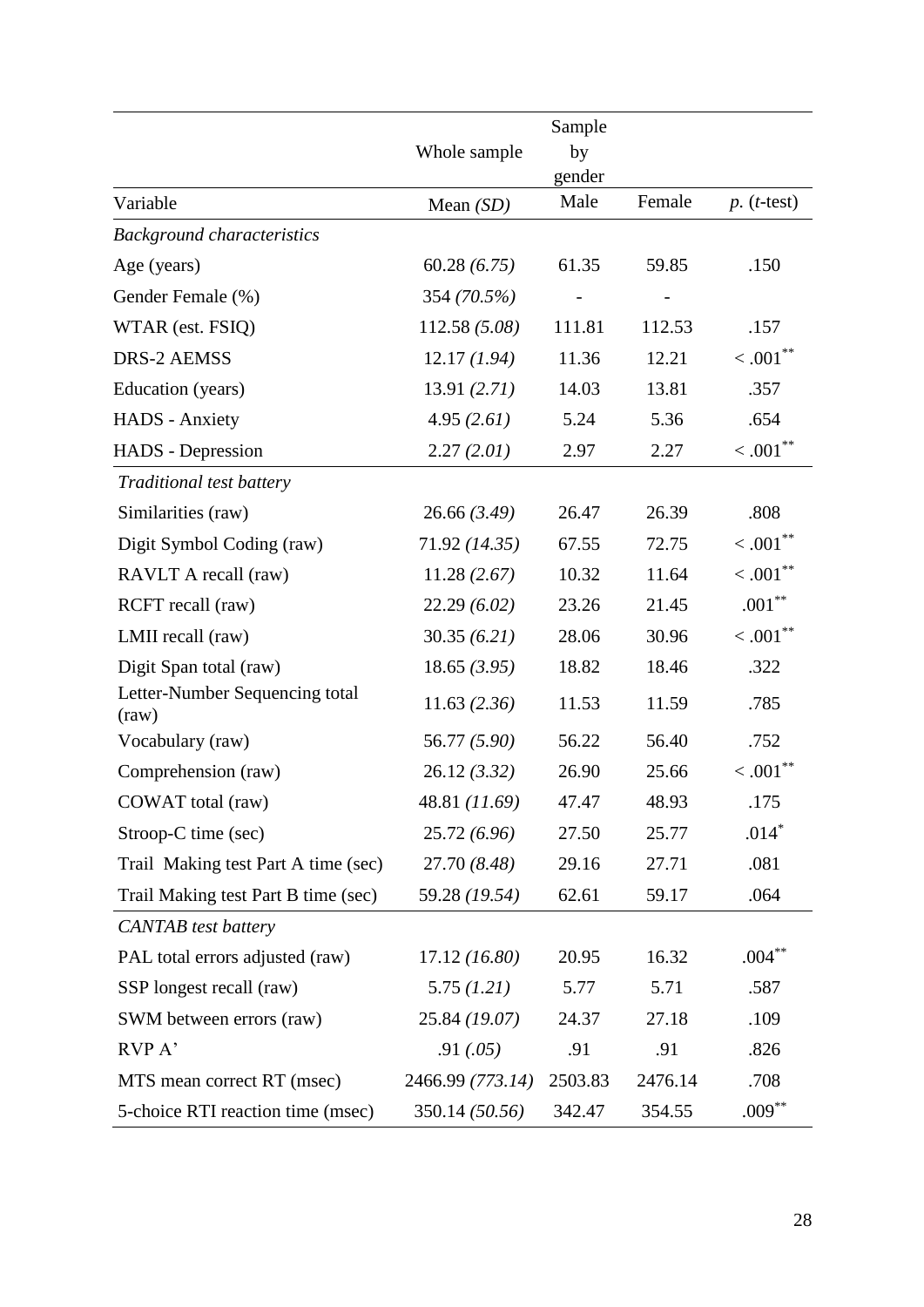|                                                         |                  | Sample  |                          |                        |
|---------------------------------------------------------|------------------|---------|--------------------------|------------------------|
|                                                         | Whole sample     | by      |                          |                        |
|                                                         |                  | gender  |                          |                        |
| Variable                                                | Mean $(SD)$      | Male    | Female                   | $p.$ ( <i>t</i> -test) |
| <b>Background characteristics</b>                       |                  |         |                          |                        |
| Age (years)                                             | 60.28(6.75)      | 61.35   | 59.85                    | .150                   |
| Gender Female (%)                                       | 354 (70.5%)      |         | $\overline{\phantom{0}}$ |                        |
| WTAR (est. FSIQ)                                        | 112.58 (5.08)    | 111.81  | 112.53                   | .157                   |
| <b>DRS-2 AEMSS</b>                                      | 12.17(1.94)      | 11.36   | 12.21                    | $< .001$ **            |
| Education (years)                                       | 13.91(2.71)      | 14.03   | 13.81                    | .357                   |
| <b>HADS</b> - Anxiety                                   | 4.95(2.61)       | 5.24    | 5.36                     | .654                   |
| <b>HADS</b> - Depression                                | 2.27(2.01)       | 2.97    | 2.27                     | $< .001$ **            |
| Traditional test battery                                |                  |         |                          |                        |
| Similarities (raw)                                      | 26.66(3.49)      | 26.47   | 26.39                    | .808                   |
| Digit Symbol Coding (raw)                               | 71.92 (14.35)    | 67.55   | 72.75                    | $< .001$ **            |
| RAVLT A recall (raw)                                    | 11.28(2.67)      | 10.32   | 11.64                    | $< .001$ **            |
| RCFT recall (raw)                                       | 22.29(6.02)      | 23.26   | 21.45                    | $.001***$              |
| LMII recall (raw)                                       | 30.35(6.21)      | 28.06   | 30.96                    | $< .001$ **            |
| Digit Span total (raw)                                  | 18.65(3.95)      | 18.82   | 18.46                    | .322                   |
| Letter-Number Sequencing total<br>$\text{(\text{raw})}$ | 11.63(2.36)      | 11.53   | 11.59                    | .785                   |
| Vocabulary (raw)                                        | 56.77 (5.90)     | 56.22   | 56.40                    | .752                   |
| Comprehension (raw)                                     | 26.12(3.32)      | 26.90   | 25.66                    | $< .001$ **            |
| COWAT total (raw)                                       | 48.81 (11.69)    | 47.47   | 48.93                    | .175                   |
| Stroop-C time (sec)                                     | 25.72(6.96)      | 27.50   | 25.77                    | $.014*$                |
| Trail Making test Part A time (sec)                     | 27.70 (8.48)     | 29.16   | 27.71                    | .081                   |
| Trail Making test Part B time (sec)                     | 59.28 (19.54)    | 62.61   | 59.17                    | .064                   |
| <b>CANTAB</b> test battery                              |                  |         |                          |                        |
| PAL total errors adjusted (raw)                         | 17.12(16.80)     | 20.95   | 16.32                    | $.004***$              |
| SSP longest recall (raw)                                | 5.75(1.21)       | 5.77    | 5.71                     | .587                   |
| SWM between errors (raw)                                | 25.84 (19.07)    | 24.37   | 27.18                    | .109                   |
| RVP A'                                                  | .91(.05)         | .91     | .91                      | .826                   |
| MTS mean correct RT (msec)                              | 2466.99 (773.14) | 2503.83 | 2476.14                  | .708                   |
| 5-choice RTI reaction time (msec)                       | 350.14 (50.56)   | 342.47  | 354.55                   | $.009***$              |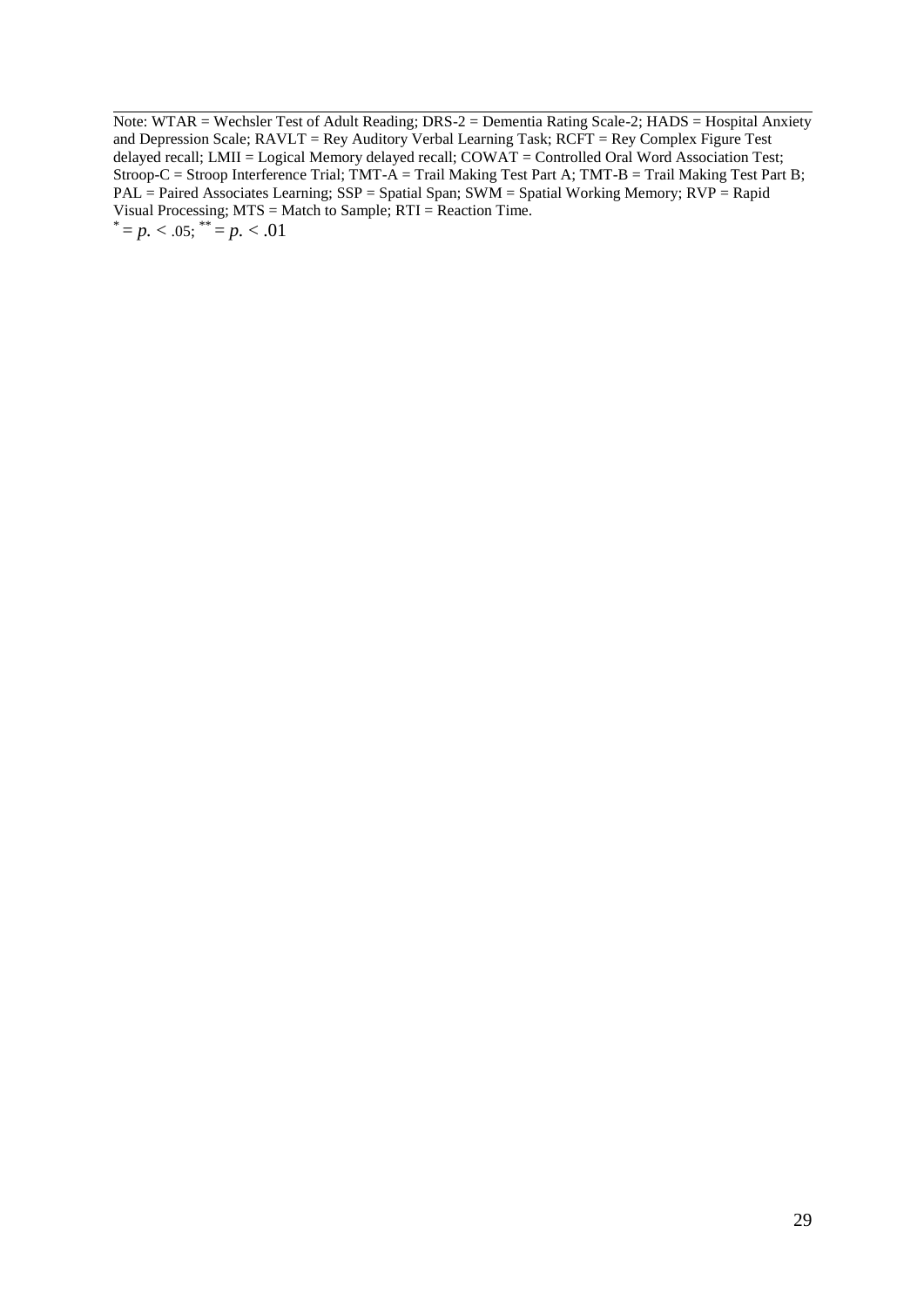Note: WTAR = Wechsler Test of Adult Reading; DRS-2 = Dementia Rating Scale-2; HADS = Hospital Anxiety and Depression Scale; RAVLT = Rey Auditory Verbal Learning Task; RCFT = Rey Complex Figure Test delayed recall; LMII = Logical Memory delayed recall; COWAT = Controlled Oral Word Association Test; Stroop-C = Stroop Interference Trial; TMT-A = Trail Making Test Part A; TMT-B = Trail Making Test Part B; PAL = Paired Associates Learning; SSP = Spatial Span; SWM = Spatial Working Memory; RVP = Rapid Visual Processing; MTS = Match to Sample; RTI = Reaction Time.  $i^* = p. < .05$ ;  $i^* = p. < .01$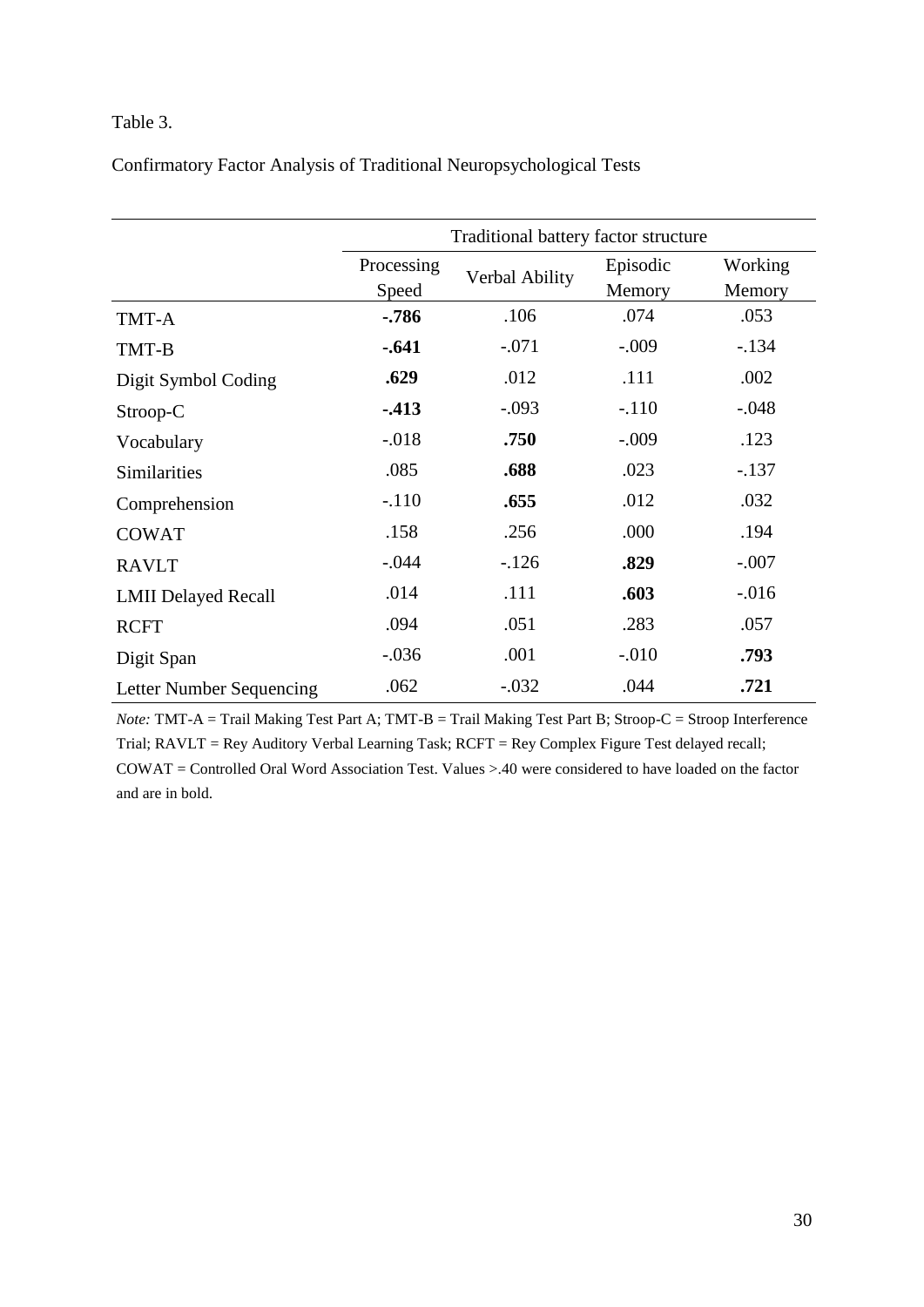## Table 3.

Confirmatory Factor Analysis of Traditional Neuropsychological Tests

|                            | Traditional battery factor structure |                |                    |                   |  |
|----------------------------|--------------------------------------|----------------|--------------------|-------------------|--|
|                            | Processing<br>Speed                  | Verbal Ability | Episodic<br>Memory | Working<br>Memory |  |
| TMT-A                      | $-786$                               | .106           | .074               | .053              |  |
| TMT-B                      | $-.641$                              | $-.071$        | $-.009$            | $-134$            |  |
| Digit Symbol Coding        | .629                                 | .012           | .111               | .002              |  |
| Stroop-C                   | $-413$                               | $-.093$        | $-.110$            | $-.048$           |  |
| Vocabulary                 | $-.018$                              | .750           | $-.009$            | .123              |  |
| Similarities               | .085                                 | .688           | .023               | $-.137$           |  |
| Comprehension              | $-.110$                              | .655           | .012               | .032              |  |
| <b>COWAT</b>               | .158                                 | .256           | .000               | .194              |  |
| <b>RAVLT</b>               | $-.044$                              | $-126$         | .829               | $-.007$           |  |
| <b>LMII Delayed Recall</b> | .014                                 | .111           | .603               | $-0.016$          |  |
| <b>RCFT</b>                | .094                                 | .051           | .283               | .057              |  |
| Digit Span                 | $-.036$                              | .001           | $-.010$            | .793              |  |
| Letter Number Sequencing   | .062                                 | $-.032$        | .044               | .721              |  |

*Note:* TMT-A = Trail Making Test Part A; TMT-B = Trail Making Test Part B; Stroop-C = Stroop Interference Trial; RAVLT = Rey Auditory Verbal Learning Task; RCFT = Rey Complex Figure Test delayed recall;

COWAT = Controlled Oral Word Association Test. Values >.40 were considered to have loaded on the factor and are in bold.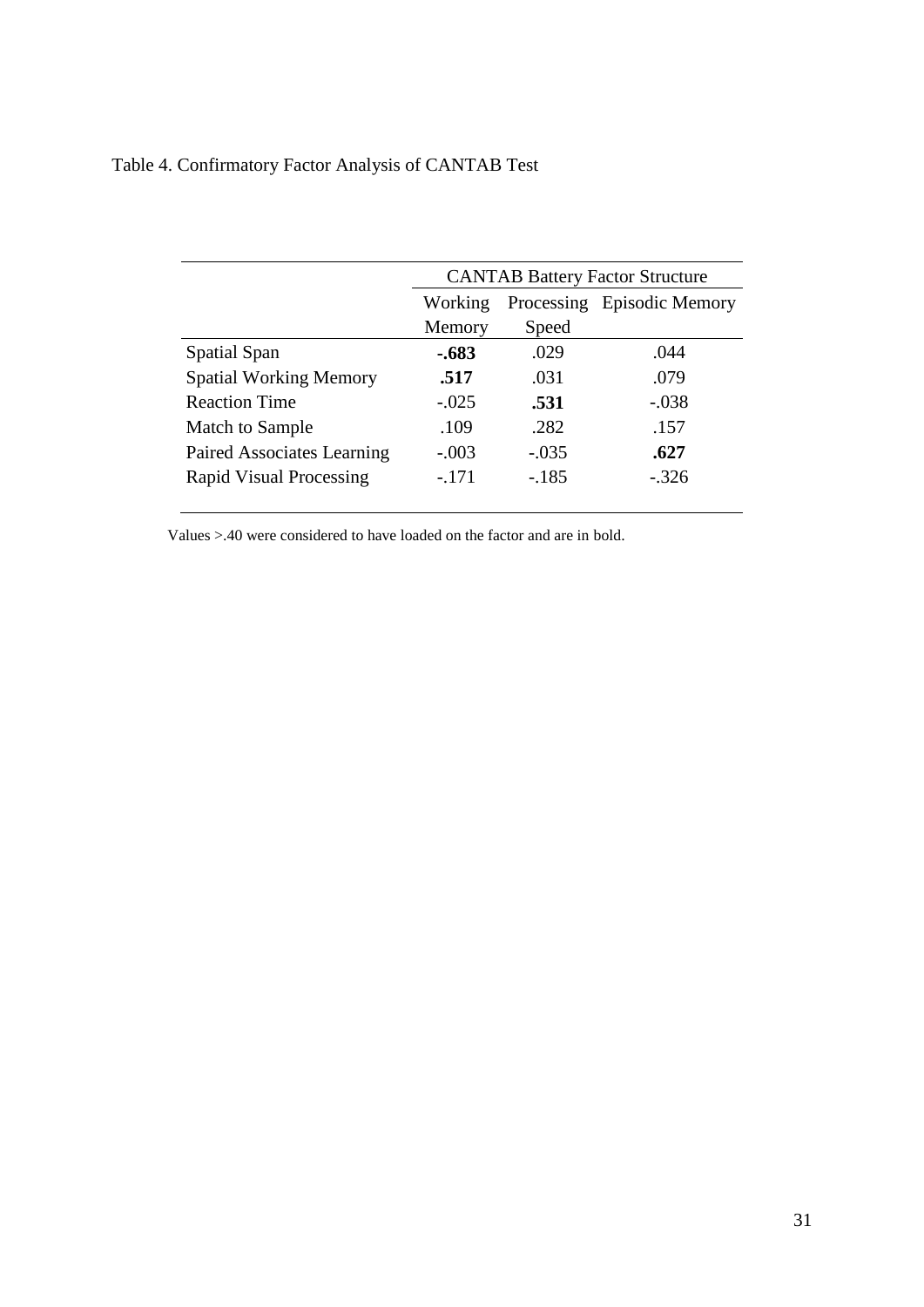| Table 4. Confirmatory Factor Analysis of CANTAB Test |  |  |  |
|------------------------------------------------------|--|--|--|
|                                                      |  |  |  |

|                                | <b>CANTAB Battery Factor Structure</b> |         |         |  |
|--------------------------------|----------------------------------------|---------|---------|--|
|                                | Processing Episodic Memory<br>Working  |         |         |  |
|                                | Memory                                 | Speed   |         |  |
| Spatial Span                   | $-.683$                                | .029    | .044    |  |
| <b>Spatial Working Memory</b>  | .517                                   | .031    | .079    |  |
| <b>Reaction Time</b>           | $-.025$                                | .531    | $-.038$ |  |
| Match to Sample                | .109                                   | .282    | .157    |  |
| Paired Associates Learning     | $-.003$                                | $-.035$ | .627    |  |
| <b>Rapid Visual Processing</b> | $-.171$                                | $-.185$ | $-.326$ |  |
|                                |                                        |         |         |  |

Values >.40 were considered to have loaded on the factor and are in bold.